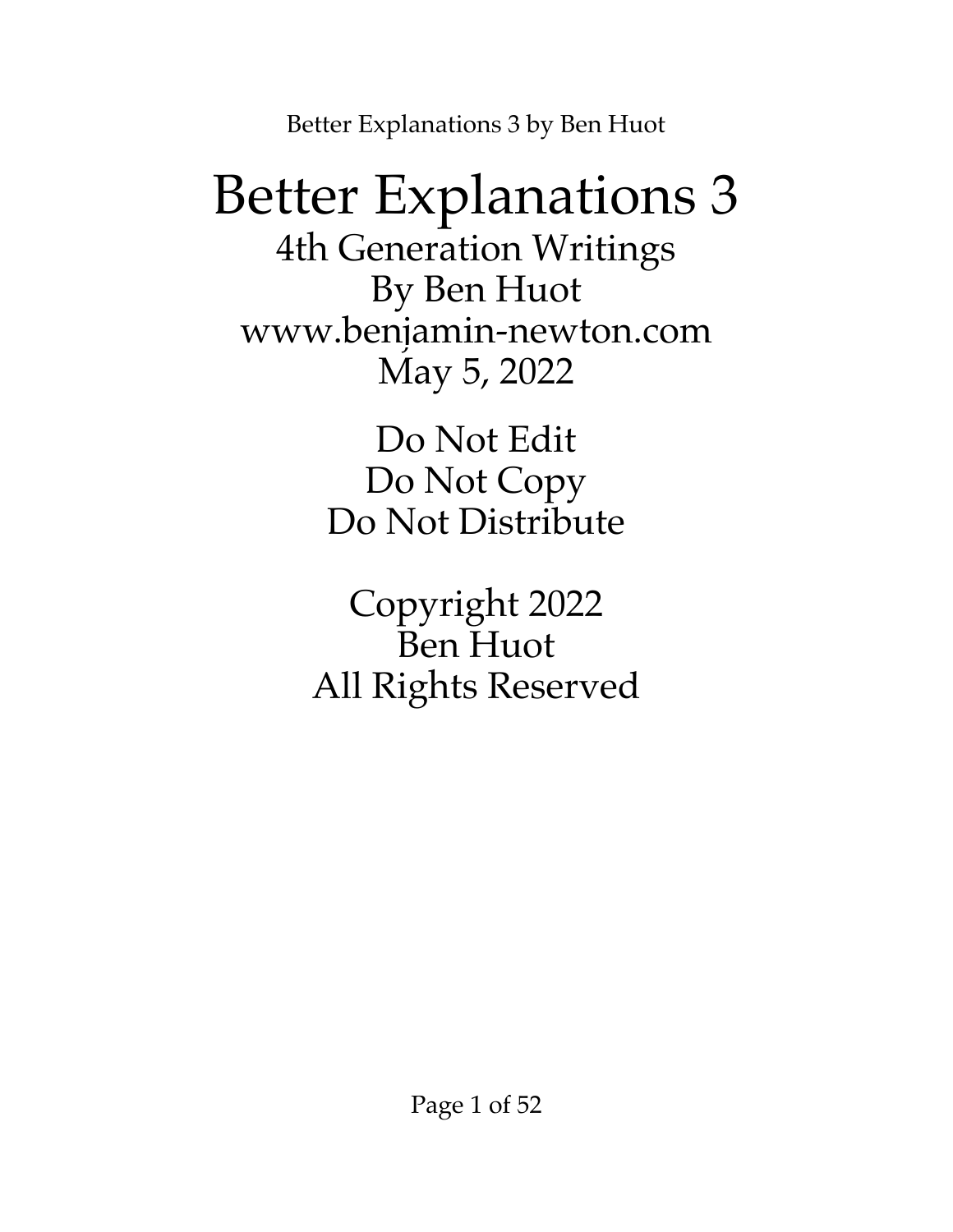### Better Explanations 3

4th Generation Writings By Ben Huot [www.benjamin-newton.com](http://www.benjamin-newton.com/) May 5, 2022

> Do Not Edit Do Not Copy Do Not Distribute

Copyright 2022 Ben Huot All Rights Reserved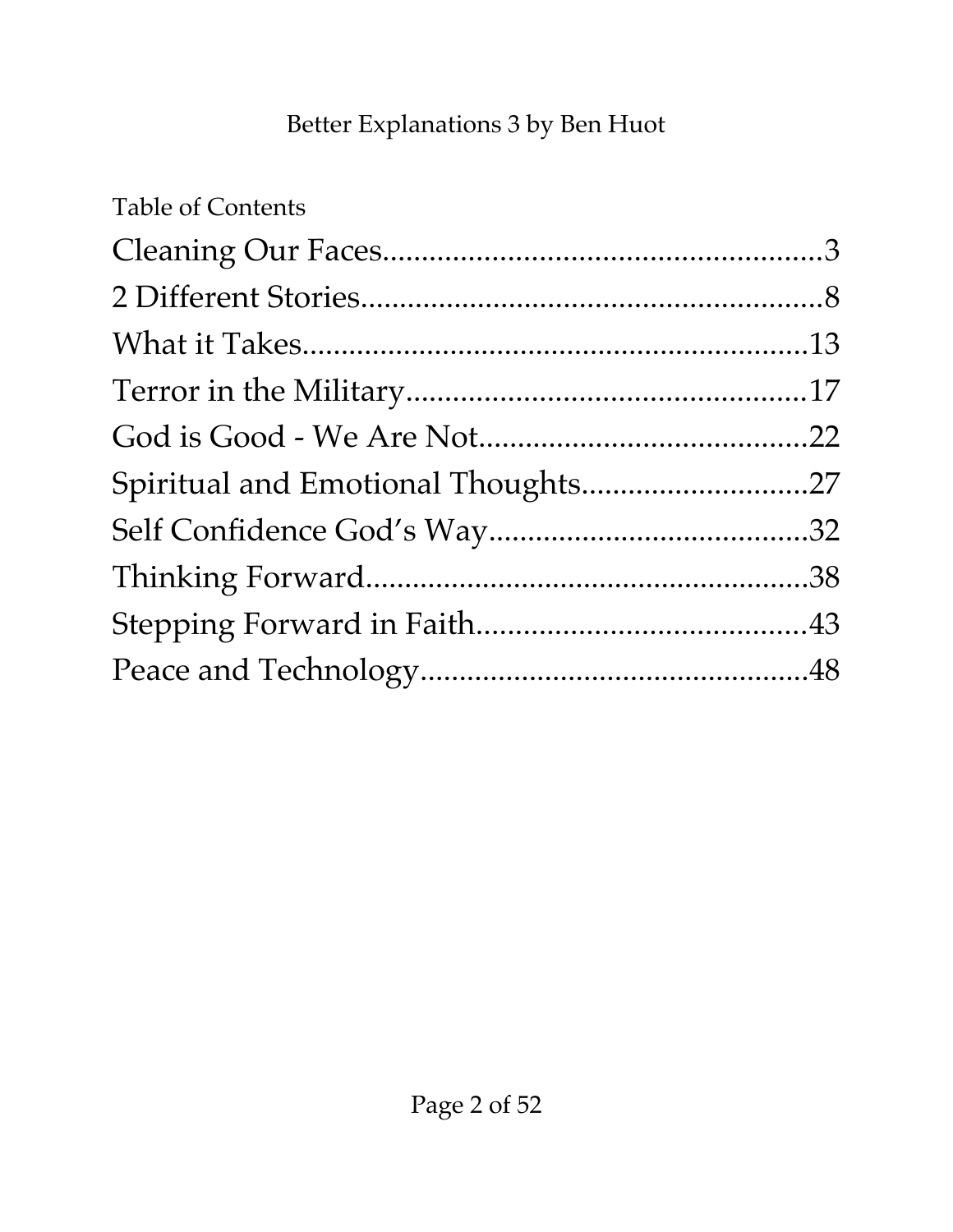| <b>Table of Contents</b>           |  |
|------------------------------------|--|
|                                    |  |
|                                    |  |
|                                    |  |
|                                    |  |
|                                    |  |
| Spiritual and Emotional Thoughts27 |  |
|                                    |  |
|                                    |  |
|                                    |  |
|                                    |  |
|                                    |  |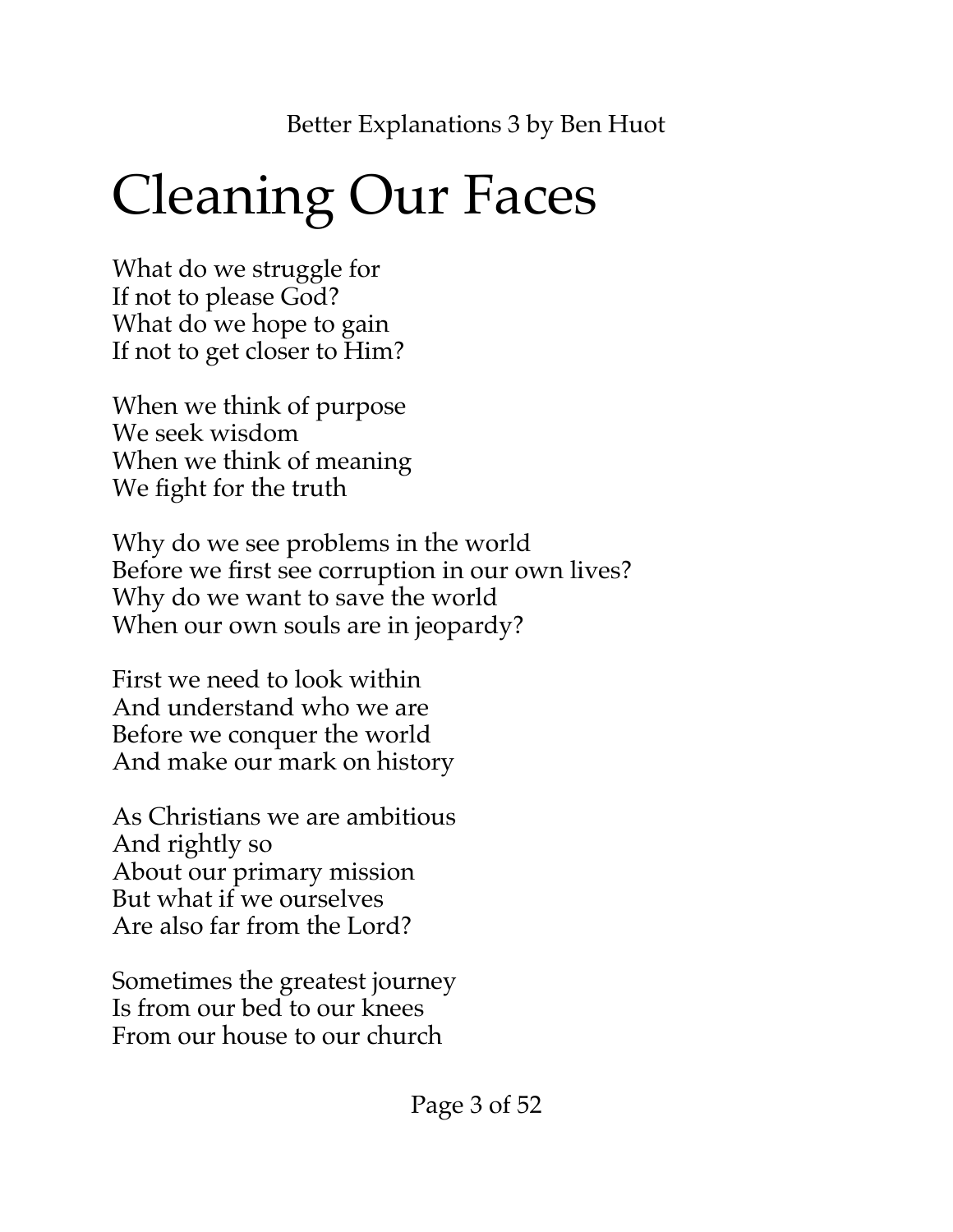### <span id="page-2-0"></span>Cleaning Our Faces

What do we struggle for If not to please God? What do we hope to gain If not to get closer to Him?

When we think of purpose We seek wisdom When we think of meaning We fight for the truth

Why do we see problems in the world Before we first see corruption in our own lives? Why do we want to save the world When our own souls are in jeopardy?

First we need to look within And understand who we are Before we conquer the world And make our mark on history

As Christians we are ambitious And rightly so About our primary mission But what if we ourselves Are also far from the Lord?

Sometimes the greatest journey Is from our bed to our knees From our house to our church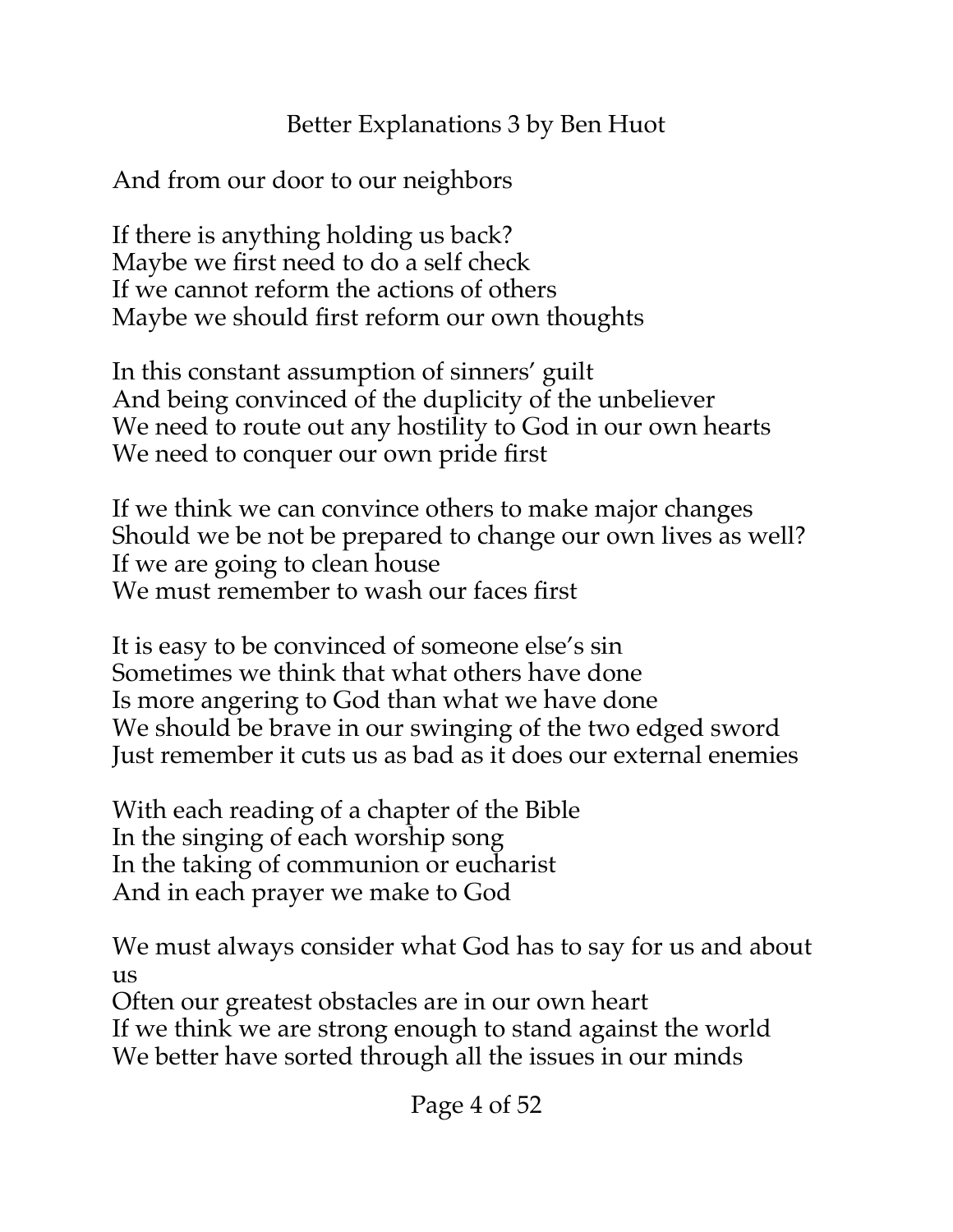And from our door to our neighbors

If there is anything holding us back? Maybe we first need to do a self check If we cannot reform the actions of others Maybe we should first reform our own thoughts

In this constant assumption of sinners' guilt And being convinced of the duplicity of the unbeliever We need to route out any hostility to God in our own hearts We need to conquer our own pride first

If we think we can convince others to make major changes Should we be not be prepared to change our own lives as well? If we are going to clean house We must remember to wash our faces first

It is easy to be convinced of someone else's sin Sometimes we think that what others have done Is more angering to God than what we have done We should be brave in our swinging of the two edged sword Just remember it cuts us as bad as it does our external enemies

With each reading of a chapter of the Bible In the singing of each worship song In the taking of communion or eucharist And in each prayer we make to God

We must always consider what God has to say for us and about us

Often our greatest obstacles are in our own heart If we think we are strong enough to stand against the world We better have sorted through all the issues in our minds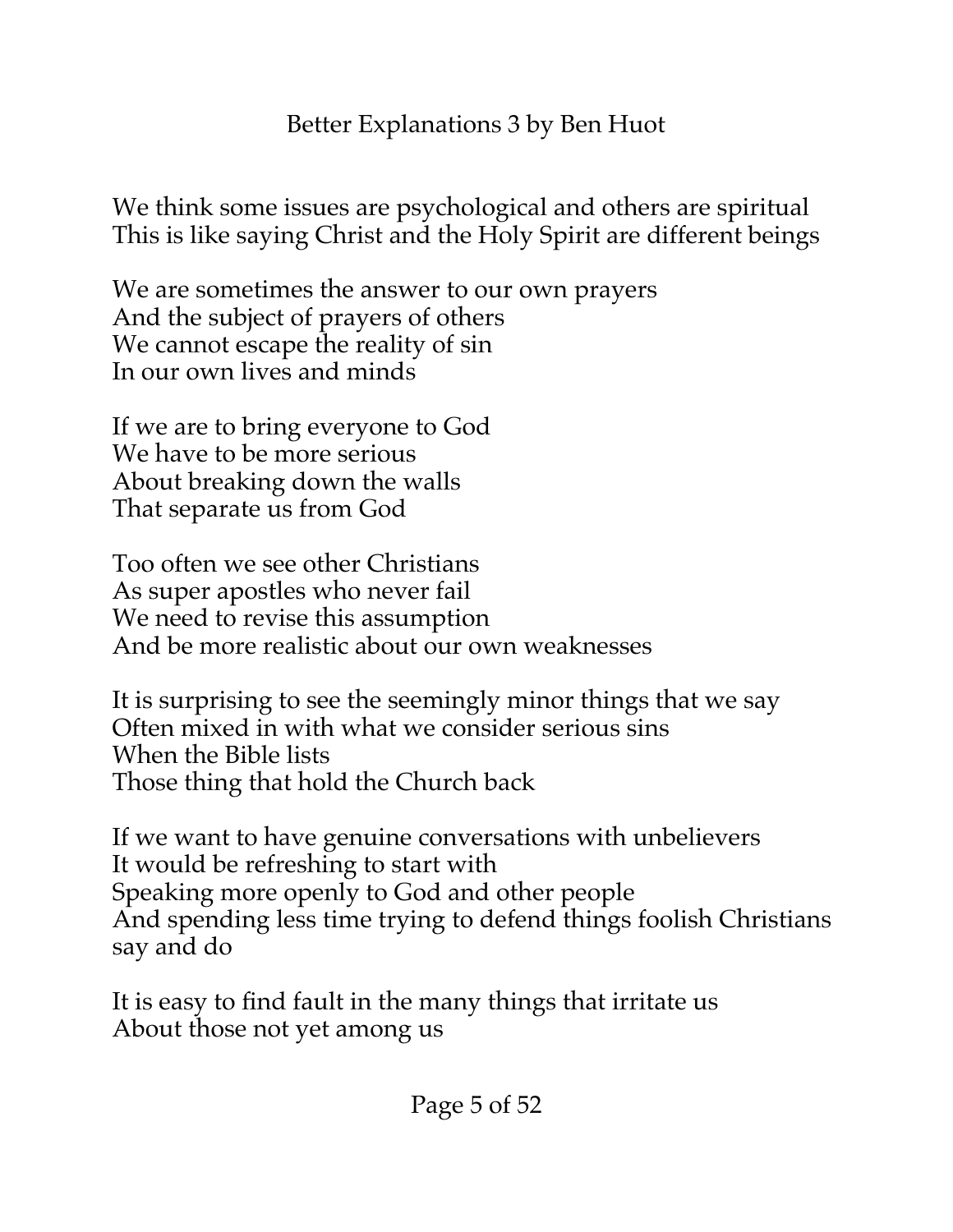We think some issues are psychological and others are spiritual This is like saying Christ and the Holy Spirit are different beings

We are sometimes the answer to our own prayers And the subject of prayers of others We cannot escape the reality of sin In our own lives and minds

If we are to bring everyone to God We have to be more serious About breaking down the walls That separate us from God

Too often we see other Christians As super apostles who never fail We need to revise this assumption And be more realistic about our own weaknesses

It is surprising to see the seemingly minor things that we say Often mixed in with what we consider serious sins When the Bible lists Those thing that hold the Church back

If we want to have genuine conversations with unbelievers It would be refreshing to start with Speaking more openly to God and other people And spending less time trying to defend things foolish Christians say and do

It is easy to find fault in the many things that irritate us About those not yet among us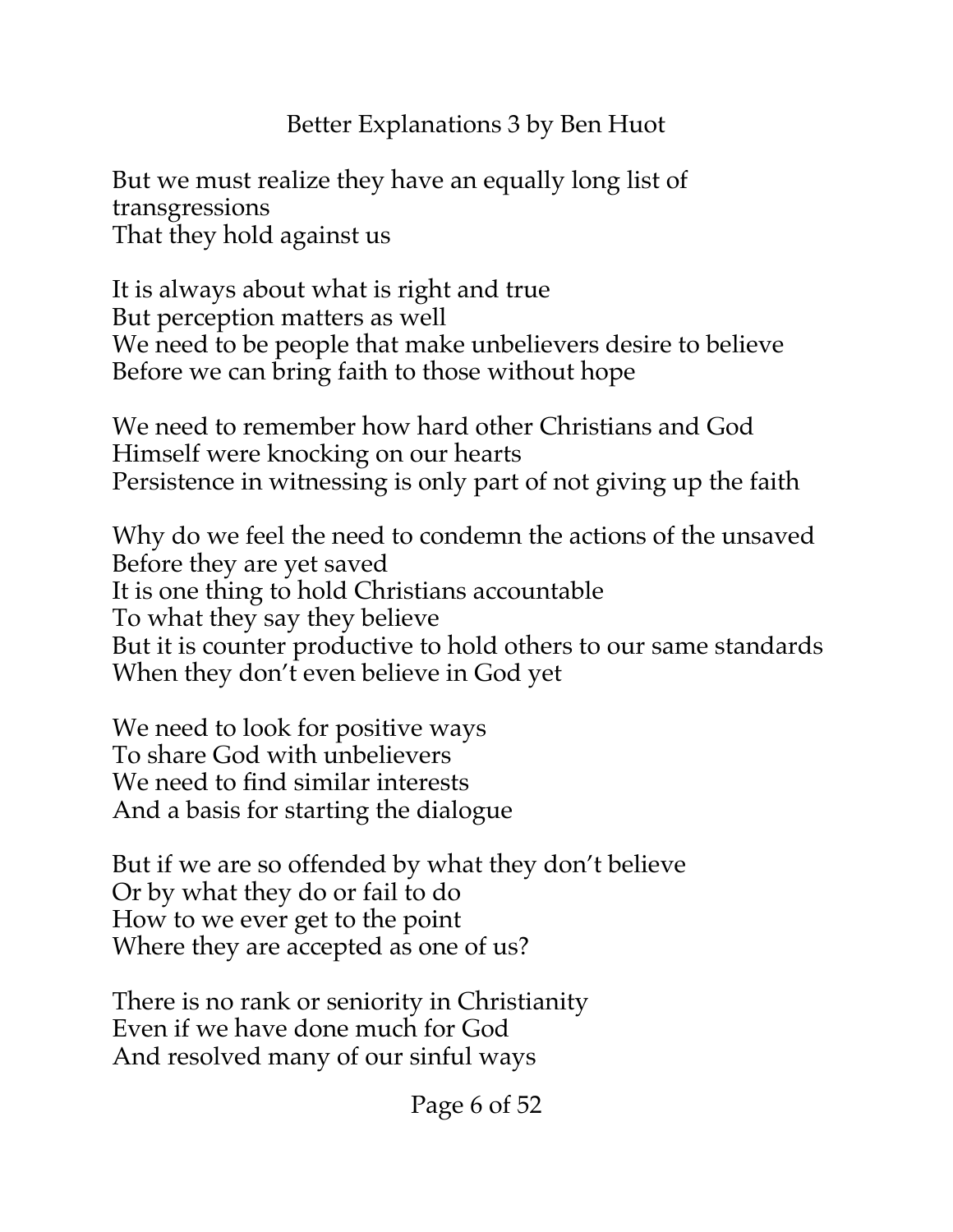But we must realize they have an equally long list of transgressions That they hold against us

It is always about what is right and true But perception matters as well We need to be people that make unbelievers desire to believe Before we can bring faith to those without hope

We need to remember how hard other Christians and God Himself were knocking on our hearts Persistence in witnessing is only part of not giving up the faith

Why do we feel the need to condemn the actions of the unsaved Before they are yet saved It is one thing to hold Christians accountable To what they say they believe But it is counter productive to hold others to our same standards When they don't even believe in God yet

We need to look for positive ways To share God with unbelievers We need to find similar interests And a basis for starting the dialogue

But if we are so offended by what they don't believe Or by what they do or fail to do How to we ever get to the point Where they are accepted as one of us?

There is no rank or seniority in Christianity Even if we have done much for God And resolved many of our sinful ways

Page 6 of 52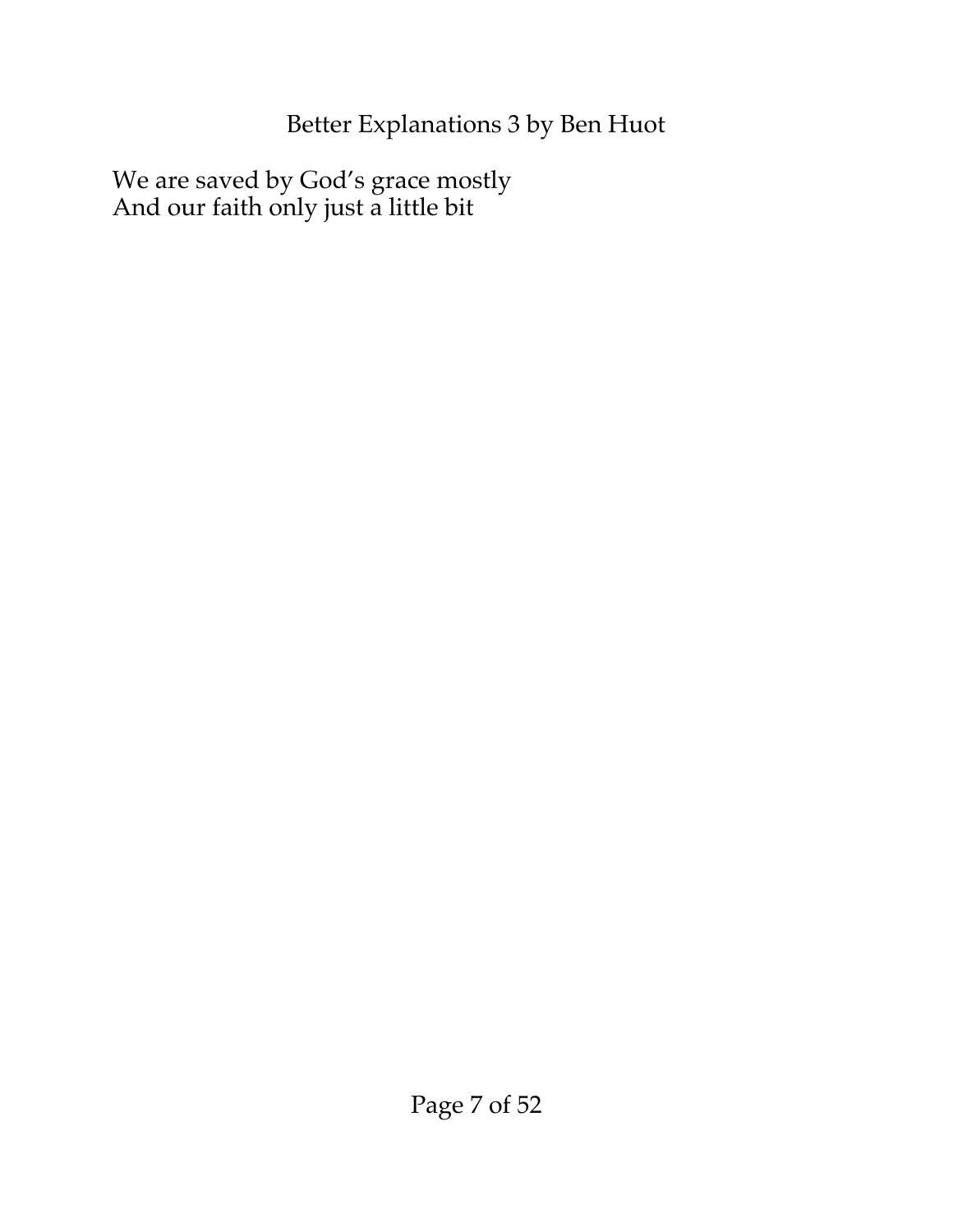We are saved by God's grace mostly And our faith only just a little bit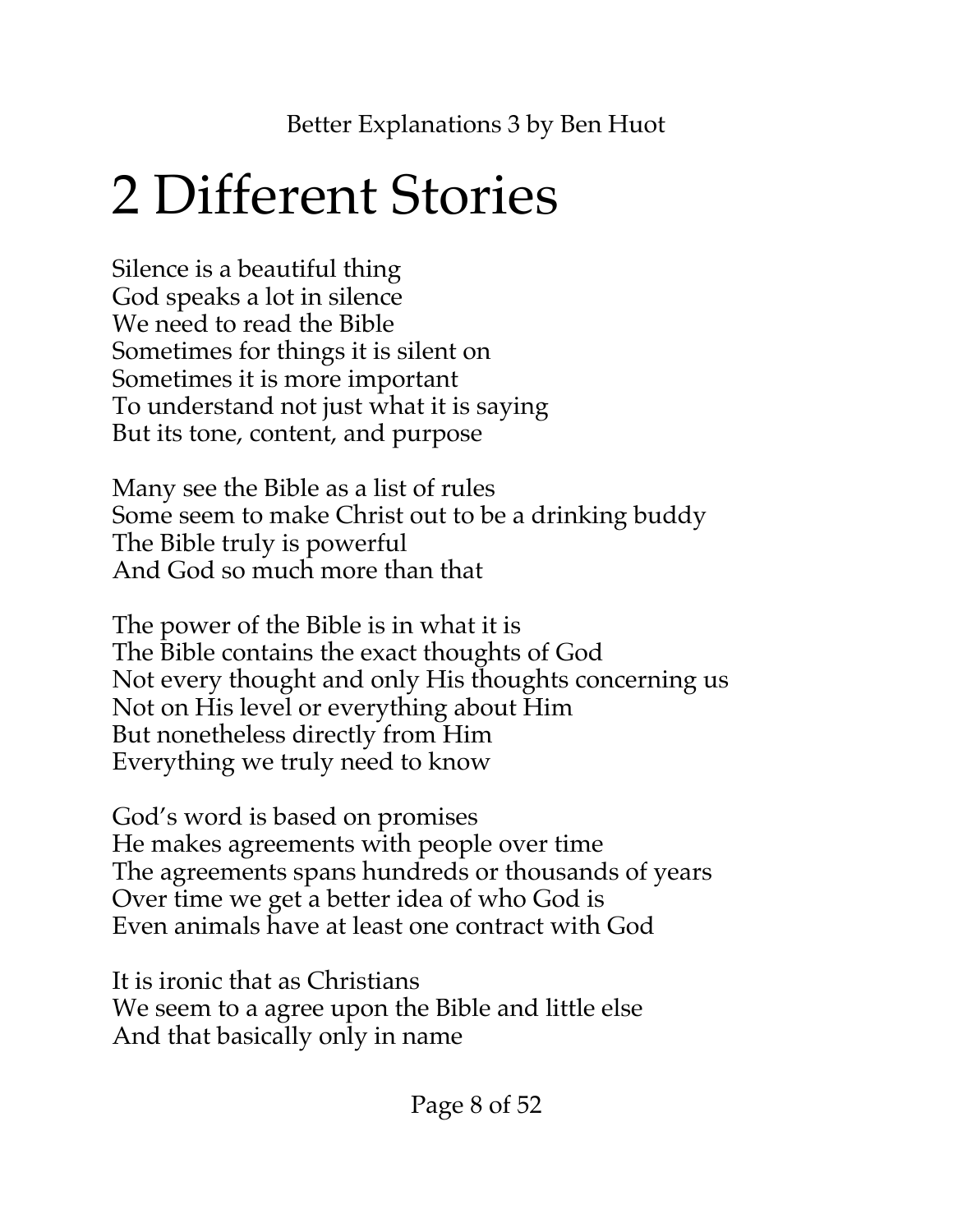### <span id="page-7-0"></span>2 Different Stories

Silence is a beautiful thing God speaks a lot in silence We need to read the Bible Sometimes for things it is silent on Sometimes it is more important To understand not just what it is saying But its tone, content, and purpose

Many see the Bible as a list of rules Some seem to make Christ out to be a drinking buddy The Bible truly is powerful And God so much more than that

The power of the Bible is in what it is The Bible contains the exact thoughts of God Not every thought and only His thoughts concerning us Not on His level or everything about Him But nonetheless directly from Him Everything we truly need to know

God's word is based on promises He makes agreements with people over time The agreements spans hundreds or thousands of years Over time we get a better idea of who God is Even animals have at least one contract with God

It is ironic that as Christians We seem to a agree upon the Bible and little else And that basically only in name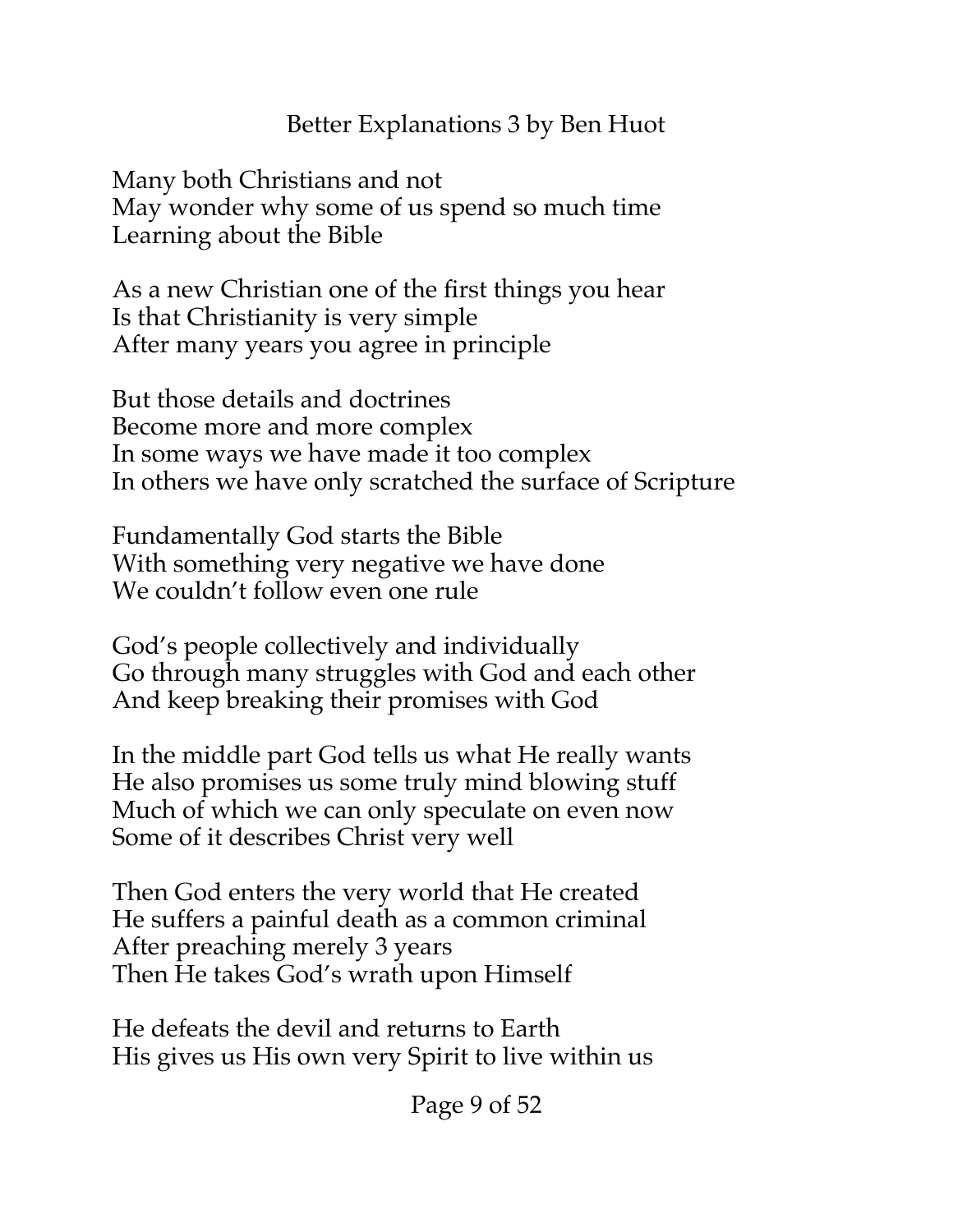Many both Christians and not May wonder why some of us spend so much time Learning about the Bible

As a new Christian one of the first things you hear Is that Christianity is very simple After many years you agree in principle

But those details and doctrines Become more and more complex In some ways we have made it too complex In others we have only scratched the surface of Scripture

Fundamentally God starts the Bible With something very negative we have done We couldn't follow even one rule

God's people collectively and individually Go through many struggles with God and each other And keep breaking their promises with God

In the middle part God tells us what He really wants He also promises us some truly mind blowing stuff Much of which we can only speculate on even now Some of it describes Christ very well

Then God enters the very world that He created He suffers a painful death as a common criminal After preaching merely 3 years Then He takes God's wrath upon Himself

He defeats the devil and returns to Earth His gives us His own very Spirit to live within us

Page 9 of 52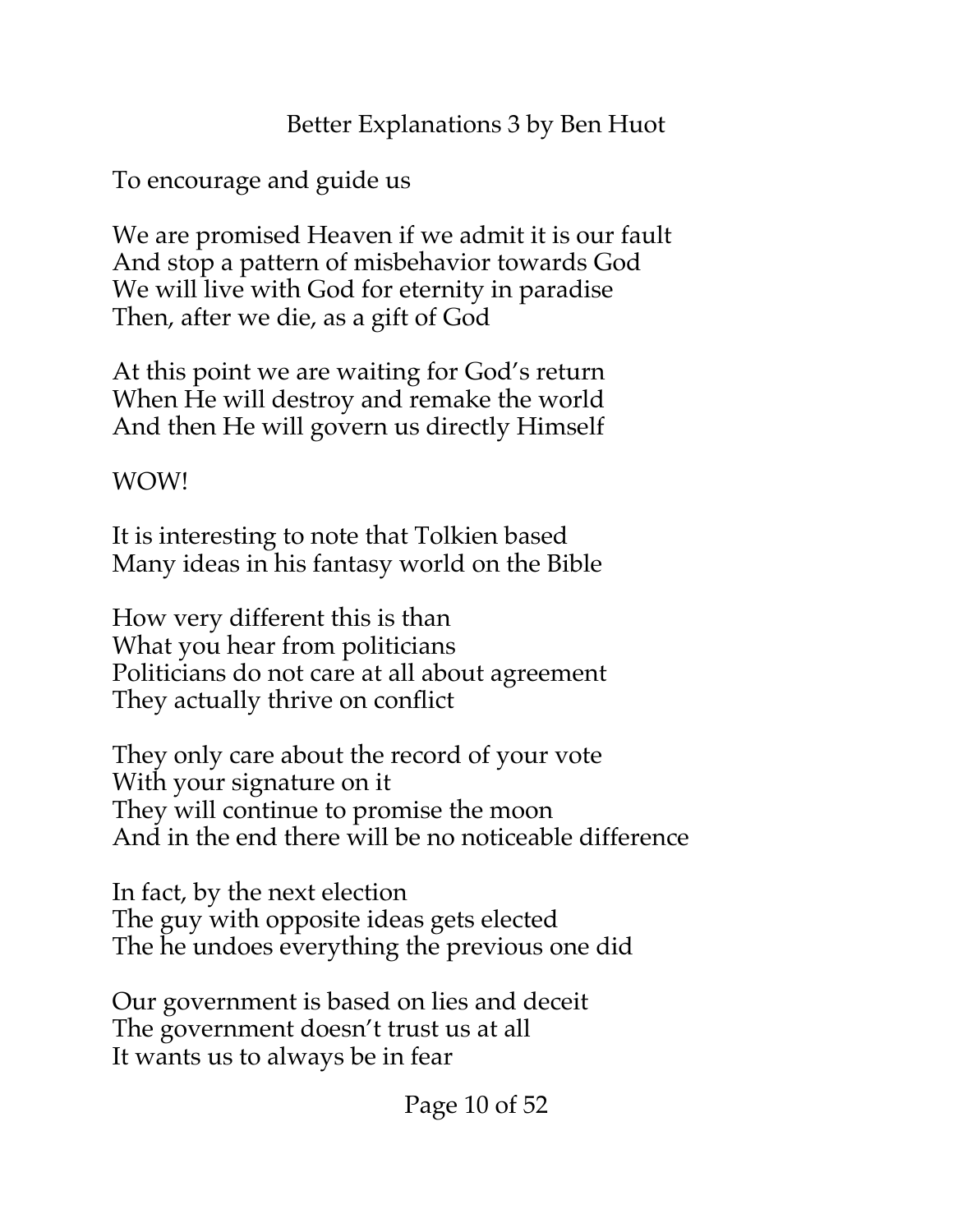To encourage and guide us

We are promised Heaven if we admit it is our fault And stop a pattern of misbehavior towards God We will live with God for eternity in paradise Then, after we die, as a gift of God

At this point we are waiting for God's return When He will destroy and remake the world And then He will govern us directly Himself

WOW!

It is interesting to note that Tolkien based Many ideas in his fantasy world on the Bible

How very different this is than What you hear from politicians Politicians do not care at all about agreement They actually thrive on conflict

They only care about the record of your vote With your signature on it They will continue to promise the moon And in the end there will be no noticeable difference

In fact, by the next election The guy with opposite ideas gets elected The he undoes everything the previous one did

Our government is based on lies and deceit The government doesn't trust us at all It wants us to always be in fear

Page 10 of 52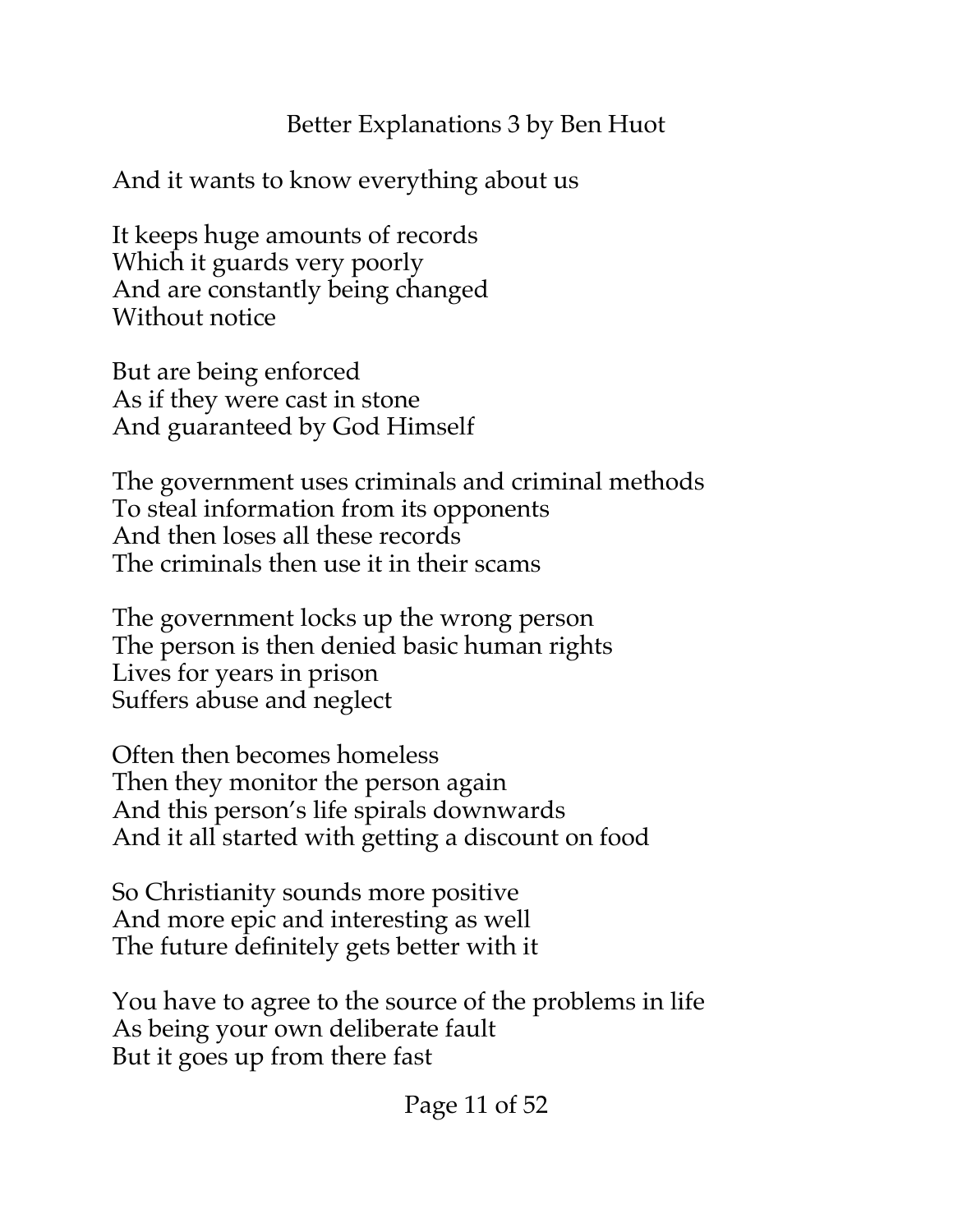And it wants to know everything about us

It keeps huge amounts of records Which it guards very poorly And are constantly being changed Without notice

But are being enforced As if they were cast in stone And guaranteed by God Himself

The government uses criminals and criminal methods To steal information from its opponents And then loses all these records The criminals then use it in their scams

The government locks up the wrong person The person is then denied basic human rights Lives for years in prison Suffers abuse and neglect

Often then becomes homeless Then they monitor the person again And this person's life spirals downwards And it all started with getting a discount on food

So Christianity sounds more positive And more epic and interesting as well The future definitely gets better with it

You have to agree to the source of the problems in life As being your own deliberate fault But it goes up from there fast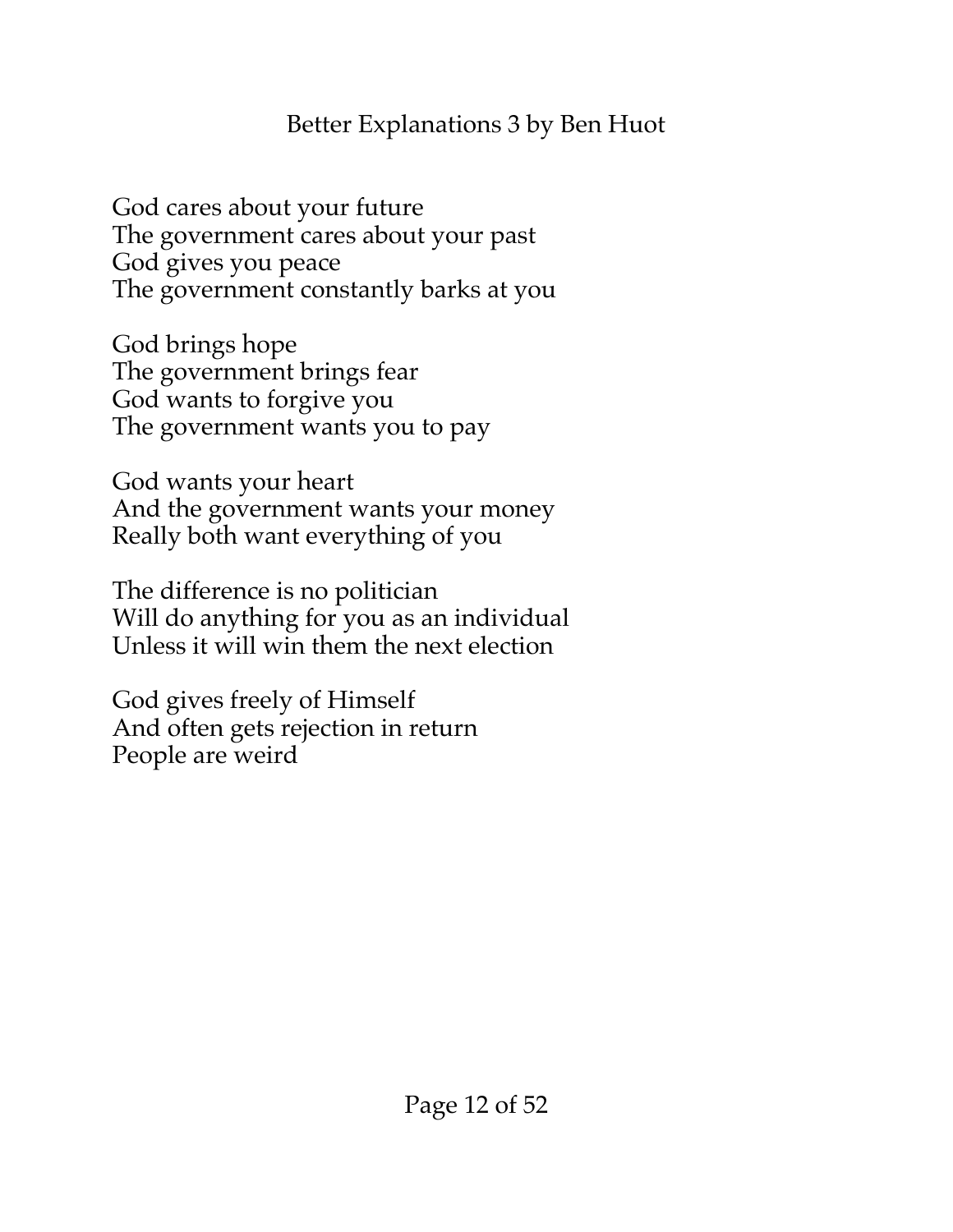God cares about your future The government cares about your past God gives you peace The government constantly barks at you

God brings hope The government brings fear God wants to forgive you The government wants you to pay

God wants your heart And the government wants your money Really both want everything of you

The difference is no politician Will do anything for you as an individual Unless it will win them the next election

God gives freely of Himself And often gets rejection in return People are weird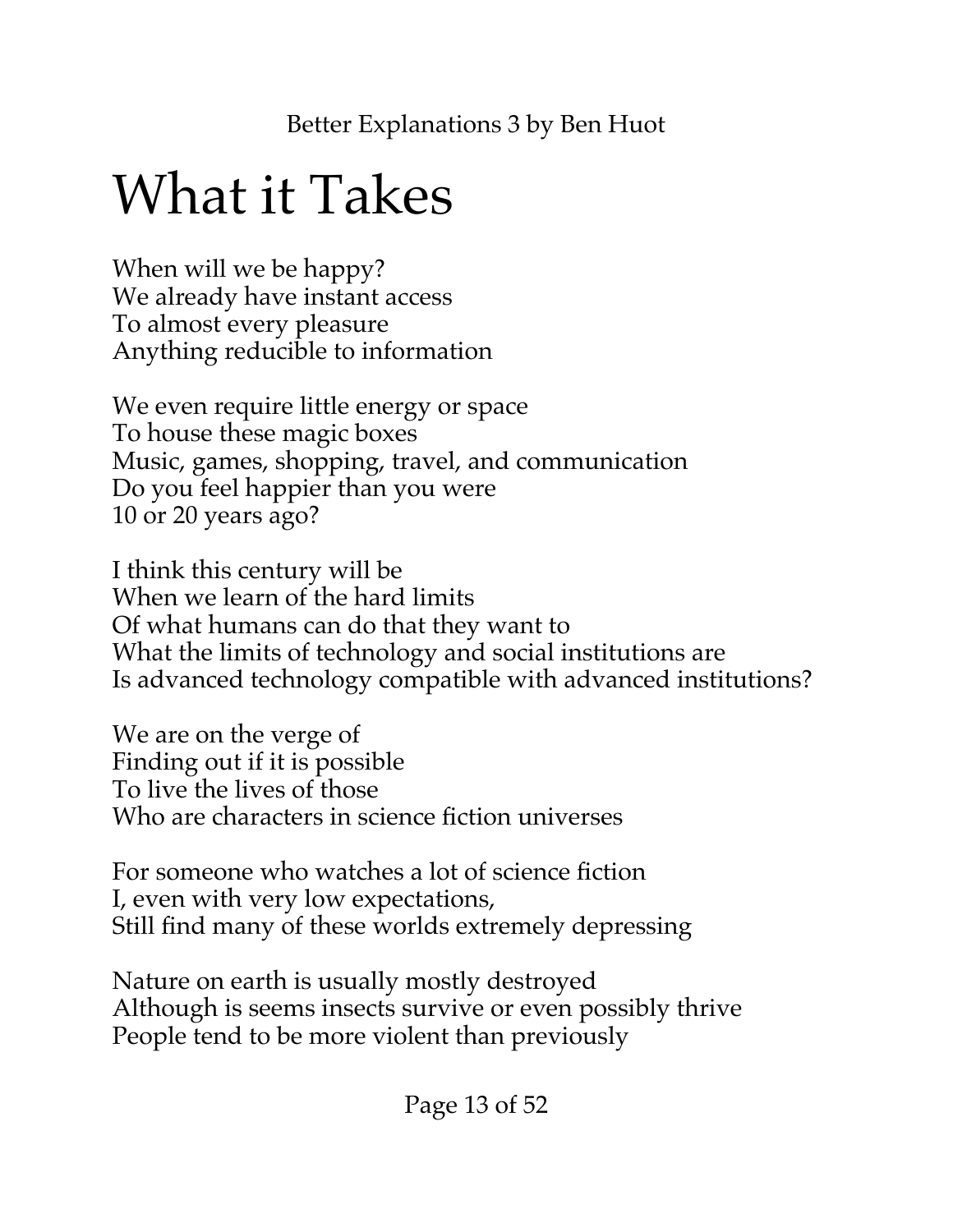### <span id="page-12-0"></span>What it Takes

When will we be happy? We already have instant access To almost every pleasure Anything reducible to information

We even require little energy or space To house these magic boxes Music, games, shopping, travel, and communication Do you feel happier than you were 10 or 20 years ago?

I think this century will be When we learn of the hard limits Of what humans can do that they want to What the limits of technology and social institutions are Is advanced technology compatible with advanced institutions?

We are on the verge of Finding out if it is possible To live the lives of those Who are characters in science fiction universes

For someone who watches a lot of science fiction I, even with very low expectations, Still find many of these worlds extremely depressing

Nature on earth is usually mostly destroyed Although is seems insects survive or even possibly thrive People tend to be more violent than previously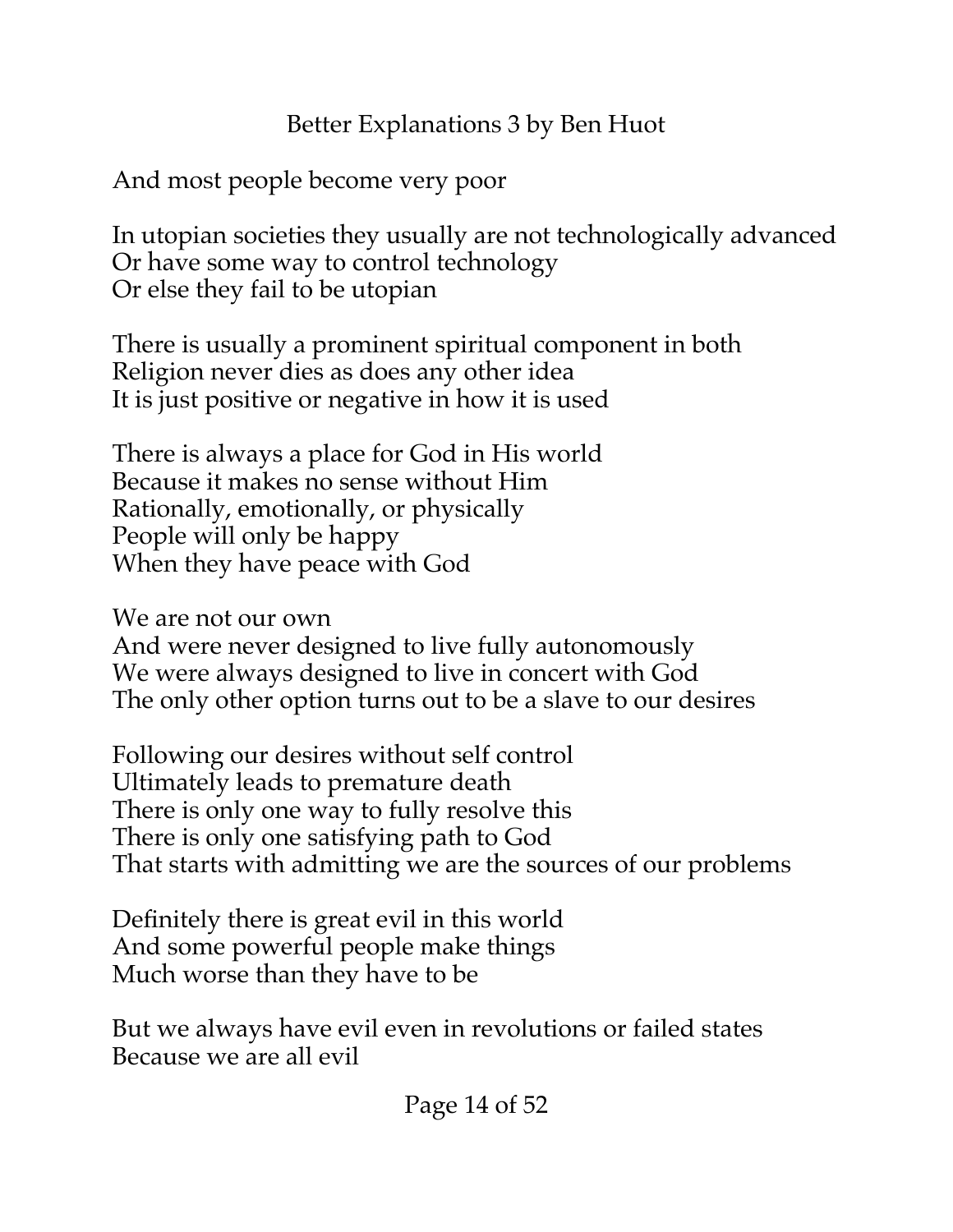And most people become very poor

In utopian societies they usually are not technologically advanced Or have some way to control technology Or else they fail to be utopian

There is usually a prominent spiritual component in both Religion never dies as does any other idea It is just positive or negative in how it is used

There is always a place for God in His world Because it makes no sense without Him Rationally, emotionally, or physically People will only be happy When they have peace with God

We are not our own

And were never designed to live fully autonomously We were always designed to live in concert with God The only other option turns out to be a slave to our desires

Following our desires without self control Ultimately leads to premature death There is only one way to fully resolve this There is only one satisfying path to God That starts with admitting we are the sources of our problems

Definitely there is great evil in this world And some powerful people make things Much worse than they have to be

But we always have evil even in revolutions or failed states Because we are all evil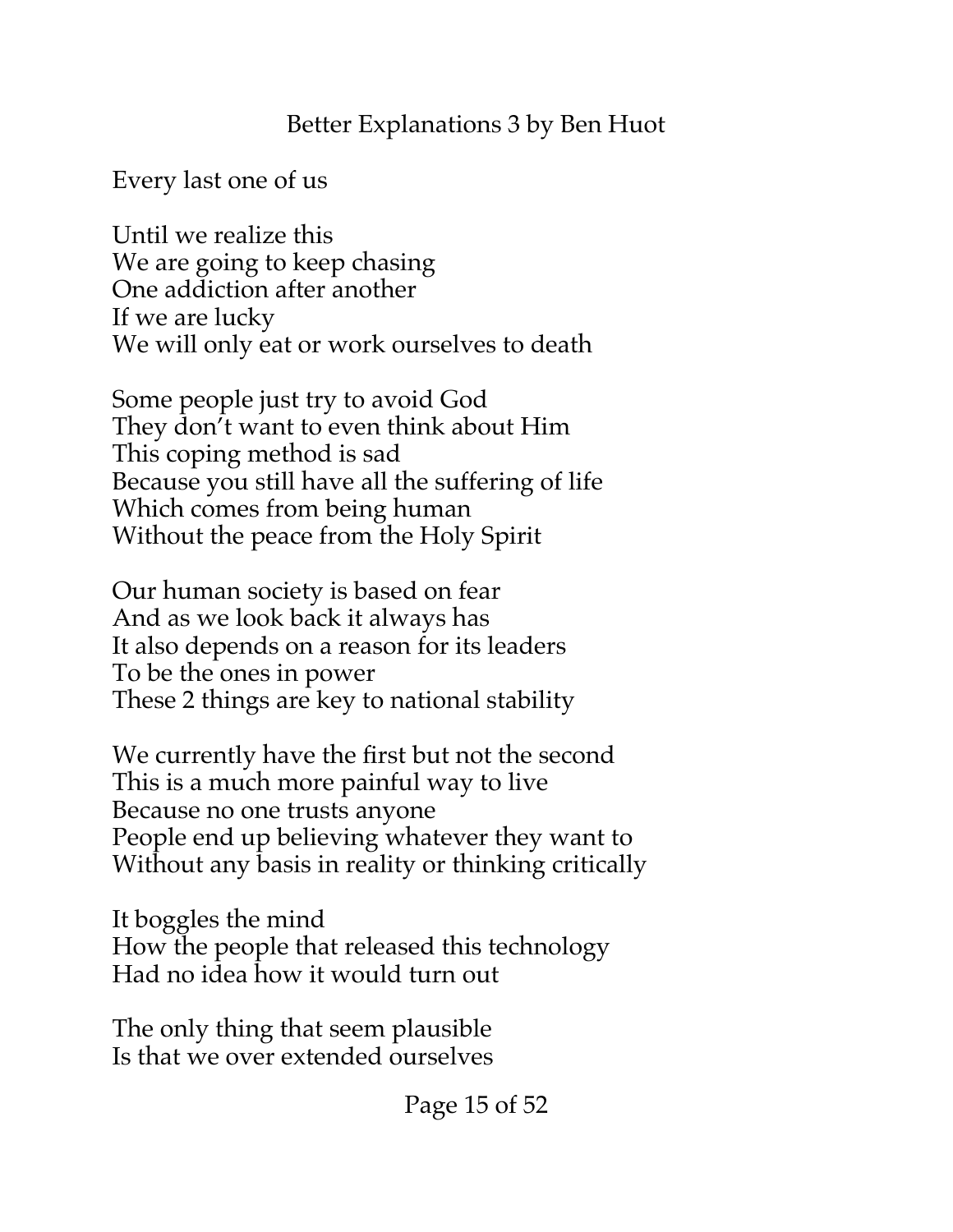Every last one of us

Until we realize this We are going to keep chasing One addiction after another If we are lucky We will only eat or work ourselves to death

Some people just try to avoid God They don't want to even think about Him This coping method is sad Because you still have all the suffering of life Which comes from being human Without the peace from the Holy Spirit

Our human society is based on fear And as we look back it always has It also depends on a reason for its leaders To be the ones in power These 2 things are key to national stability

We currently have the first but not the second This is a much more painful way to live Because no one trusts anyone People end up believing whatever they want to Without any basis in reality or thinking critically

It boggles the mind How the people that released this technology Had no idea how it would turn out

The only thing that seem plausible Is that we over extended ourselves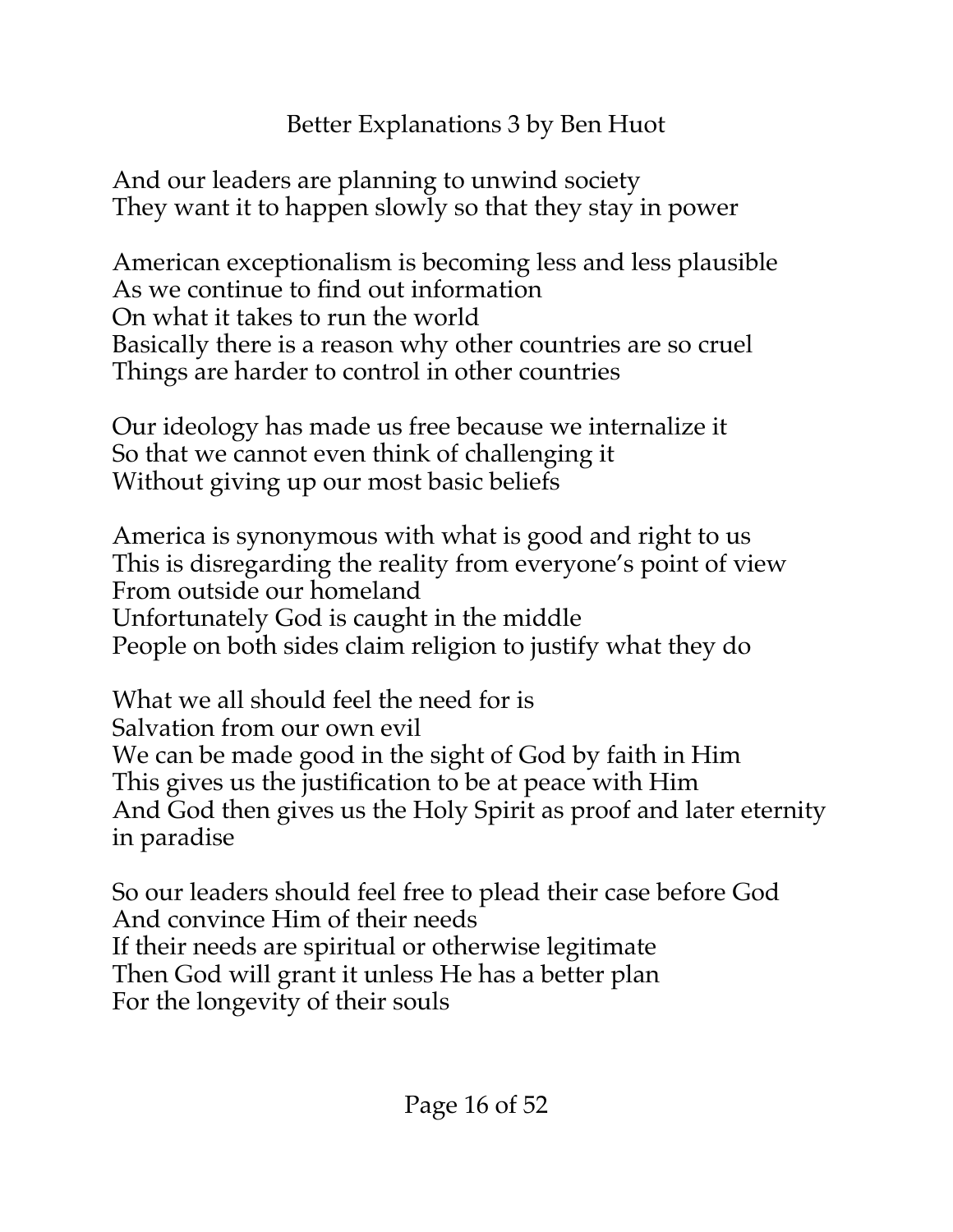And our leaders are planning to unwind society They want it to happen slowly so that they stay in power

American exceptionalism is becoming less and less plausible As we continue to find out information On what it takes to run the world Basically there is a reason why other countries are so cruel Things are harder to control in other countries

Our ideology has made us free because we internalize it So that we cannot even think of challenging it Without giving up our most basic beliefs

America is synonymous with what is good and right to us This is disregarding the reality from everyone's point of view From outside our homeland Unfortunately God is caught in the middle People on both sides claim religion to justify what they do

What we all should feel the need for is Salvation from our own evil We can be made good in the sight of God by faith in Him This gives us the justification to be at peace with Him And God then gives us the Holy Spirit as proof and later eternity in paradise

So our leaders should feel free to plead their case before God And convince Him of their needs If their needs are spiritual or otherwise legitimate Then God will grant it unless He has a better plan For the longevity of their souls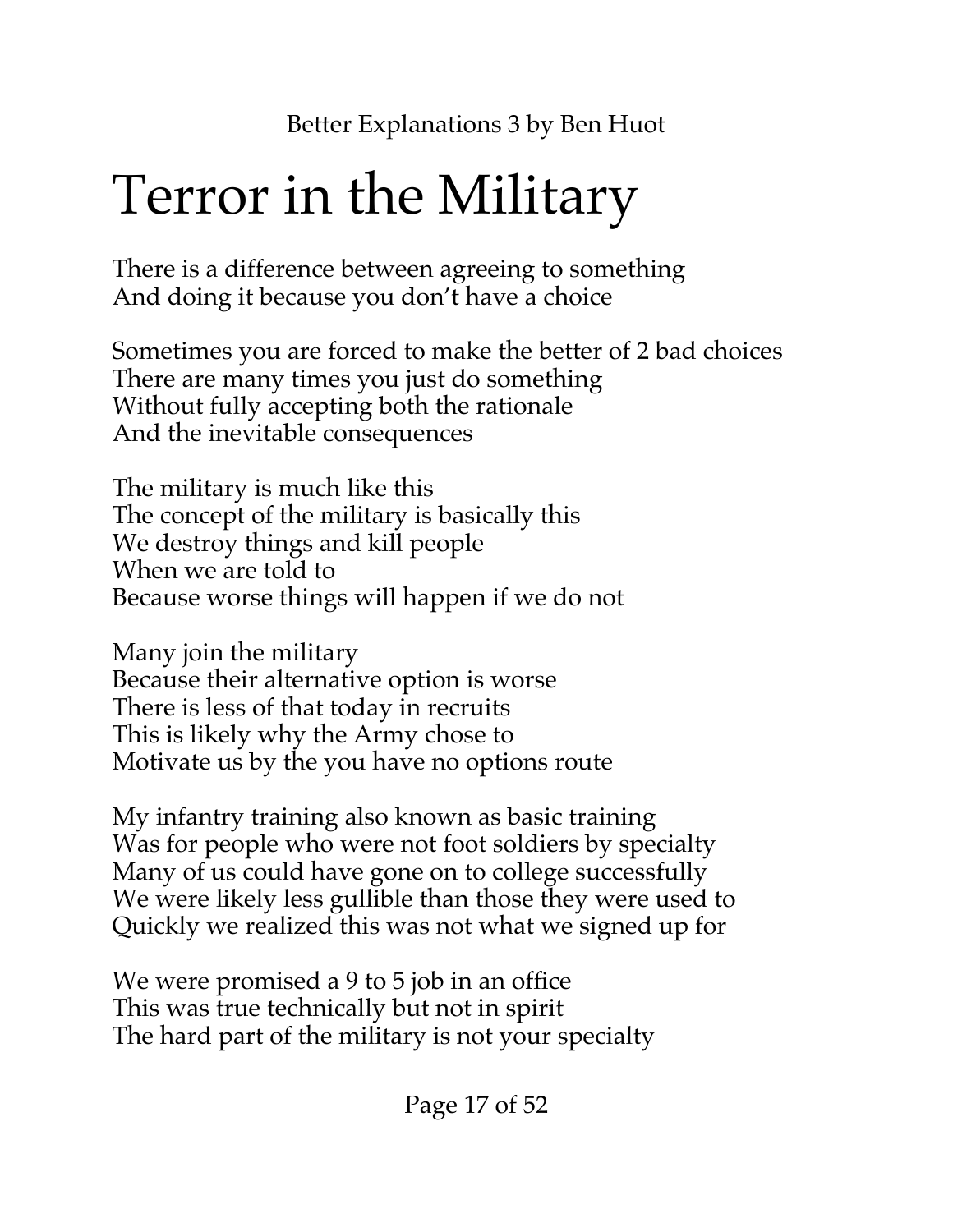### <span id="page-16-0"></span>Terror in the Military

There is a difference between agreeing to something And doing it because you don't have a choice

Sometimes you are forced to make the better of 2 bad choices There are many times you just do something Without fully accepting both the rationale And the inevitable consequences

The military is much like this The concept of the military is basically this We destroy things and kill people When we are told to Because worse things will happen if we do not

Many join the military Because their alternative option is worse There is less of that today in recruits This is likely why the Army chose to Motivate us by the you have no options route

My infantry training also known as basic training Was for people who were not foot soldiers by specialty Many of us could have gone on to college successfully We were likely less gullible than those they were used to Quickly we realized this was not what we signed up for

We were promised a 9 to 5 job in an office This was true technically but not in spirit The hard part of the military is not your specialty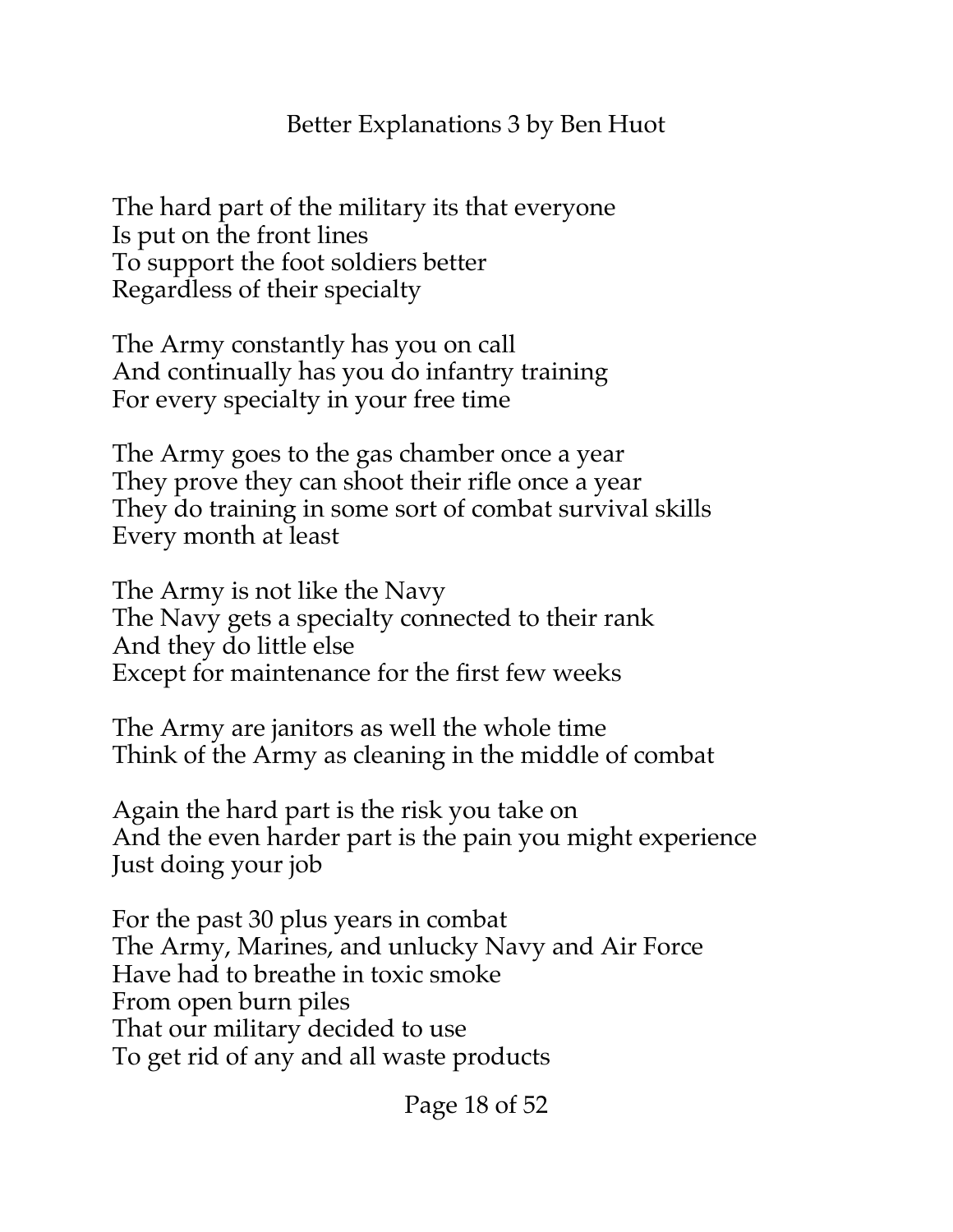The hard part of the military its that everyone Is put on the front lines To support the foot soldiers better Regardless of their specialty

The Army constantly has you on call And continually has you do infantry training For every specialty in your free time

The Army goes to the gas chamber once a year They prove they can shoot their rifle once a year They do training in some sort of combat survival skills Every month at least

The Army is not like the Navy The Navy gets a specialty connected to their rank And they do little else Except for maintenance for the first few weeks

The Army are janitors as well the whole time Think of the Army as cleaning in the middle of combat

Again the hard part is the risk you take on And the even harder part is the pain you might experience Just doing your job

For the past 30 plus years in combat The Army, Marines, and unlucky Navy and Air Force Have had to breathe in toxic smoke From open burn piles That our military decided to use To get rid of any and all waste products

Page 18 of 52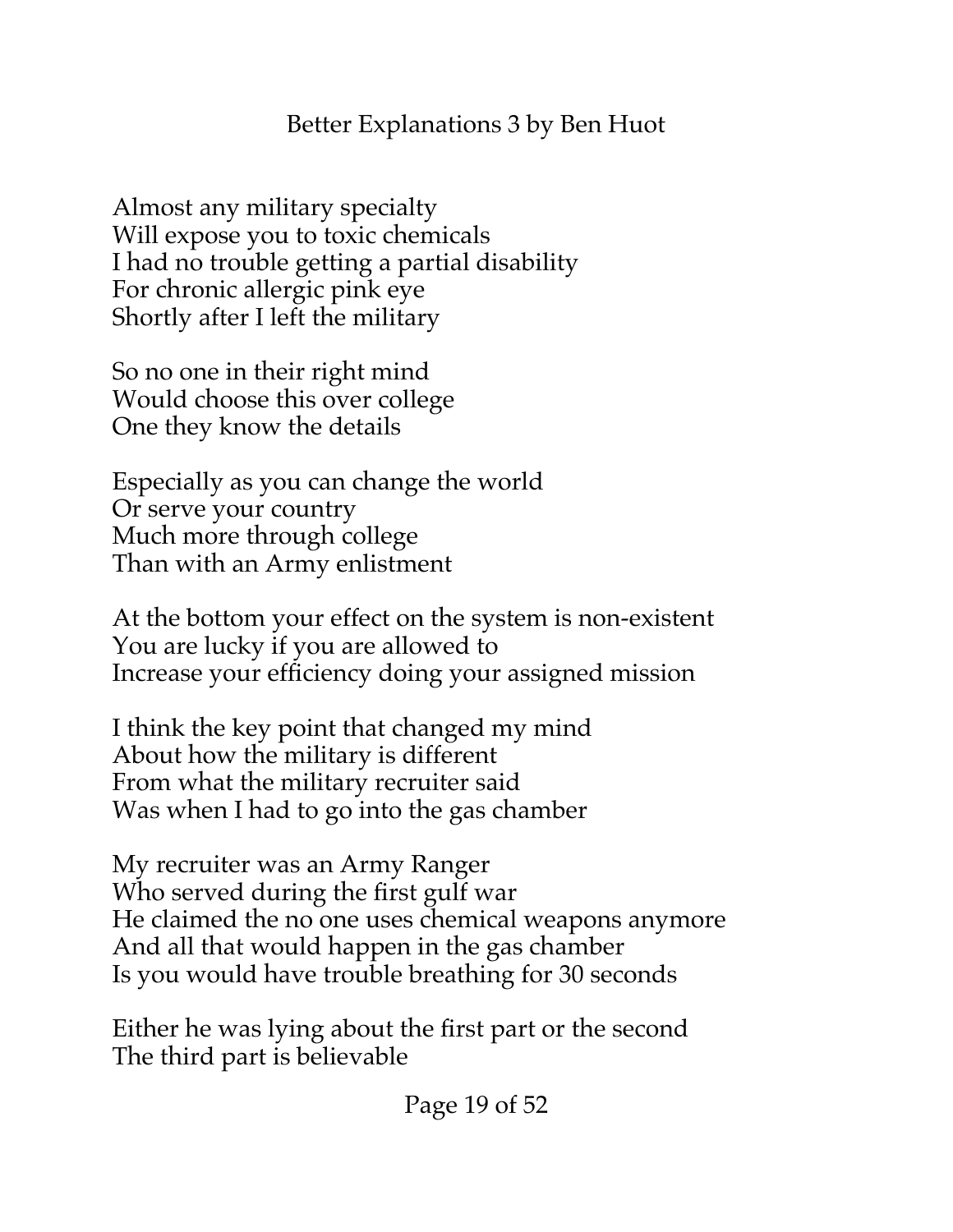Almost any military specialty Will expose you to toxic chemicals I had no trouble getting a partial disability For chronic allergic pink eye Shortly after I left the military

So no one in their right mind Would choose this over college One they know the details

Especially as you can change the world Or serve your country Much more through college Than with an Army enlistment

At the bottom your effect on the system is non-existent You are lucky if you are allowed to Increase your efficiency doing your assigned mission

I think the key point that changed my mind About how the military is different From what the military recruiter said Was when I had to go into the gas chamber

My recruiter was an Army Ranger Who served during the first gulf war He claimed the no one uses chemical weapons anymore And all that would happen in the gas chamber Is you would have trouble breathing for 30 seconds

Either he was lying about the first part or the second The third part is believable

Page 19 of 52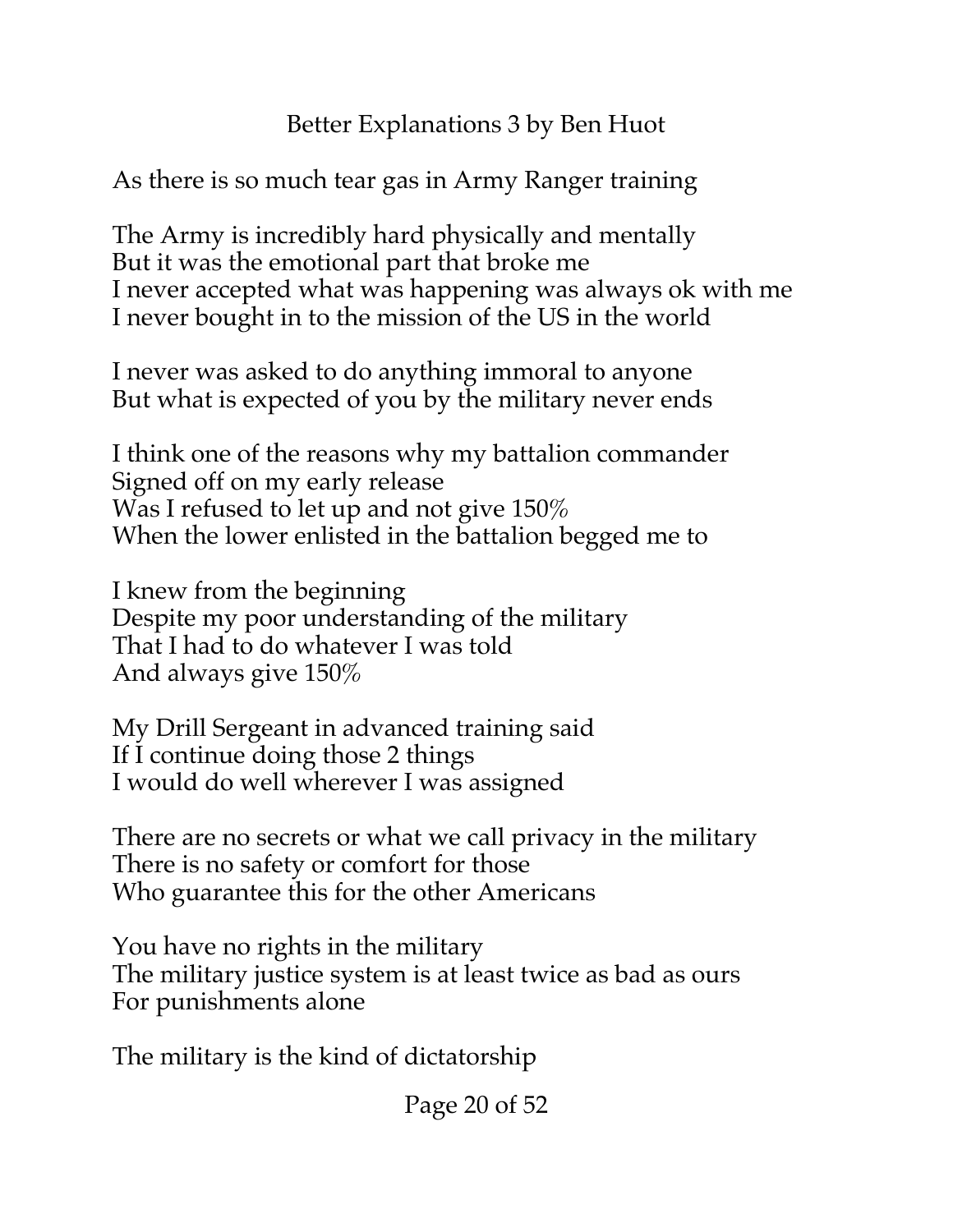As there is so much tear gas in Army Ranger training

The Army is incredibly hard physically and mentally But it was the emotional part that broke me I never accepted what was happening was always ok with me I never bought in to the mission of the US in the world

I never was asked to do anything immoral to anyone But what is expected of you by the military never ends

I think one of the reasons why my battalion commander Signed off on my early release Was I refused to let up and not give 150% When the lower enlisted in the battalion begged me to

I knew from the beginning Despite my poor understanding of the military That I had to do whatever I was told And always give 150%

My Drill Sergeant in advanced training said If I continue doing those 2 things I would do well wherever I was assigned

There are no secrets or what we call privacy in the military There is no safety or comfort for those Who guarantee this for the other Americans

You have no rights in the military The military justice system is at least twice as bad as ours For punishments alone

The military is the kind of dictatorship

Page 20 of 52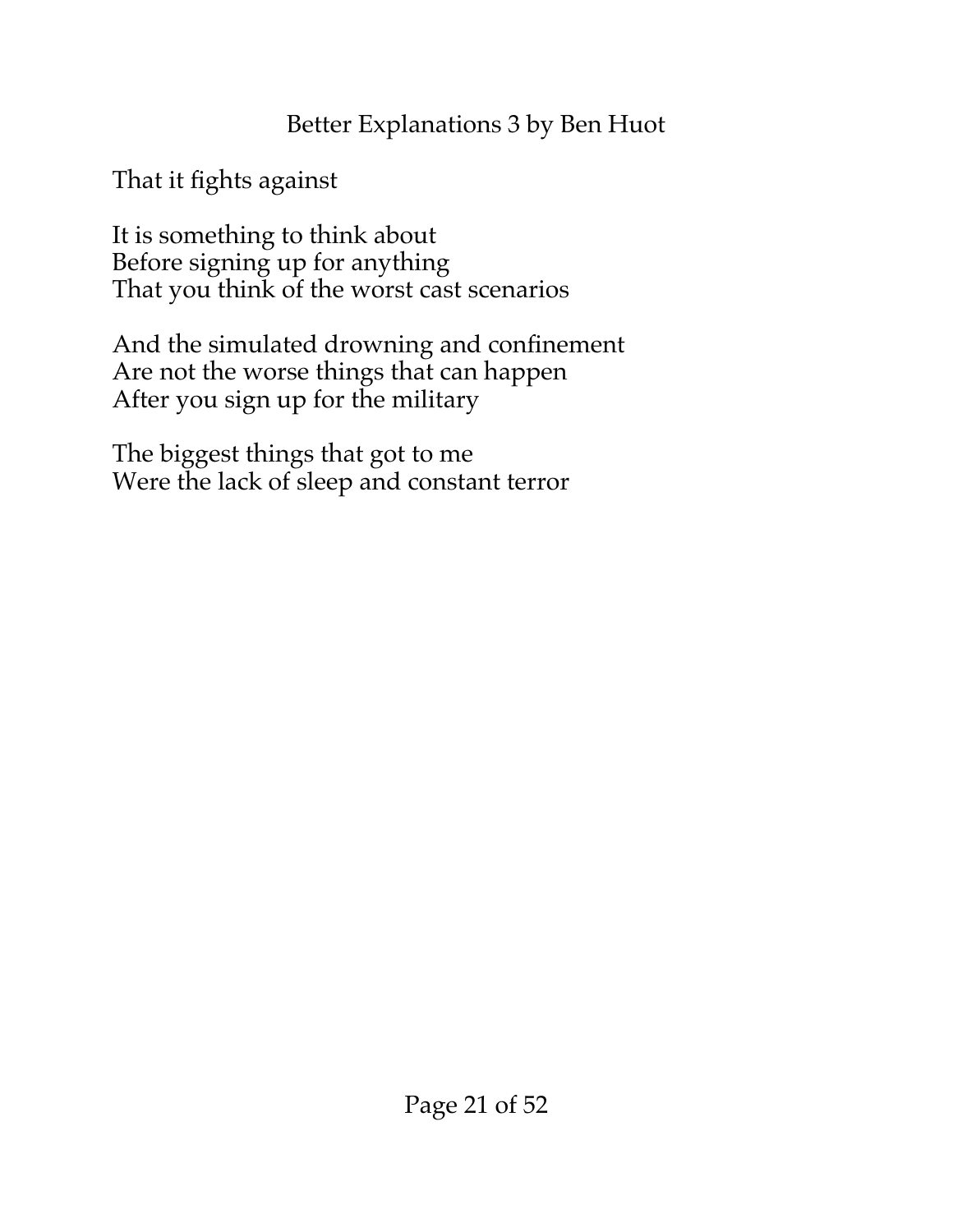That it fights against

It is something to think about Before signing up for anything That you think of the worst cast scenarios

And the simulated drowning and confinement Are not the worse things that can happen After you sign up for the military

The biggest things that got to me Were the lack of sleep and constant terror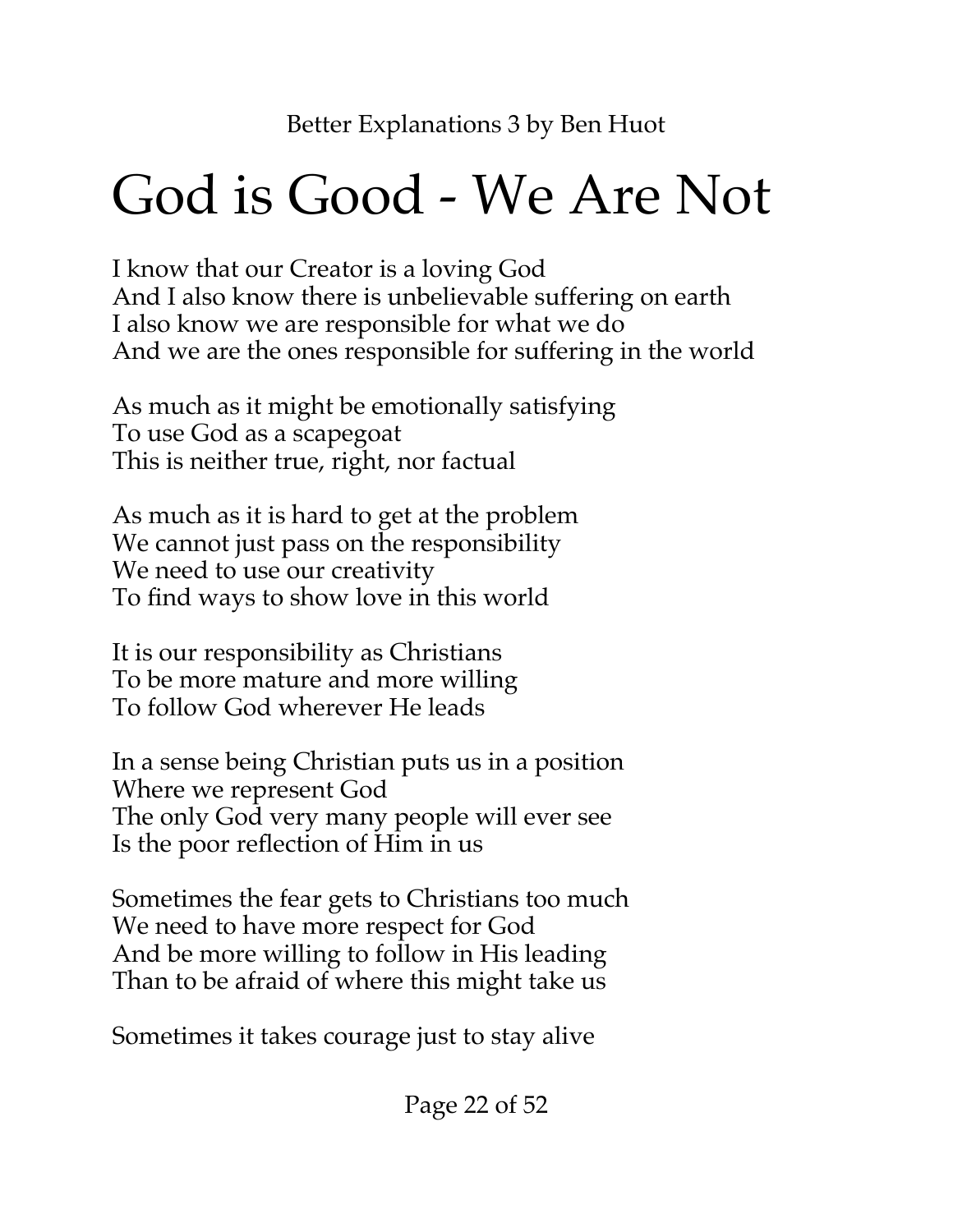### <span id="page-21-0"></span>God is Good - We Are Not

I know that our Creator is a loving God And I also know there is unbelievable suffering on earth I also know we are responsible for what we do And we are the ones responsible for suffering in the world

As much as it might be emotionally satisfying To use God as a scapegoat This is neither true, right, nor factual

As much as it is hard to get at the problem We cannot just pass on the responsibility We need to use our creativity To find ways to show love in this world

It is our responsibility as Christians To be more mature and more willing To follow God wherever He leads

In a sense being Christian puts us in a position Where we represent God The only God very many people will ever see Is the poor reflection of Him in us

Sometimes the fear gets to Christians too much We need to have more respect for God And be more willing to follow in His leading Than to be afraid of where this might take us

Sometimes it takes courage just to stay alive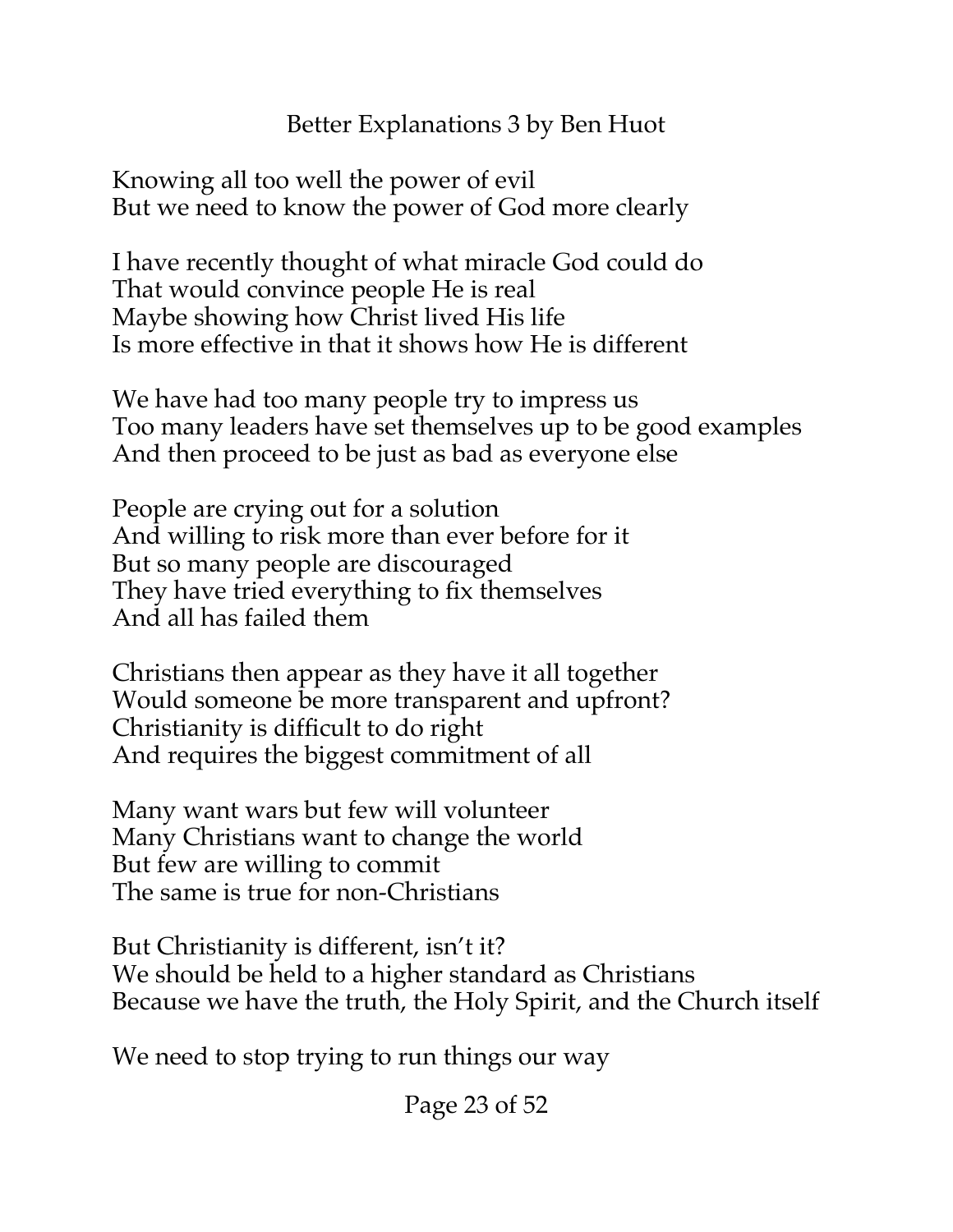Knowing all too well the power of evil But we need to know the power of God more clearly

I have recently thought of what miracle God could do That would convince people He is real Maybe showing how Christ lived His life Is more effective in that it shows how He is different

We have had too many people try to impress us Too many leaders have set themselves up to be good examples And then proceed to be just as bad as everyone else

People are crying out for a solution And willing to risk more than ever before for it But so many people are discouraged They have tried everything to fix themselves And all has failed them

Christians then appear as they have it all together Would someone be more transparent and upfront? Christianity is difficult to do right And requires the biggest commitment of all

Many want wars but few will volunteer Many Christians want to change the world But few are willing to commit The same is true for non-Christians

But Christianity is different, isn't it? We should be held to a higher standard as Christians Because we have the truth, the Holy Spirit, and the Church itself

We need to stop trying to run things our way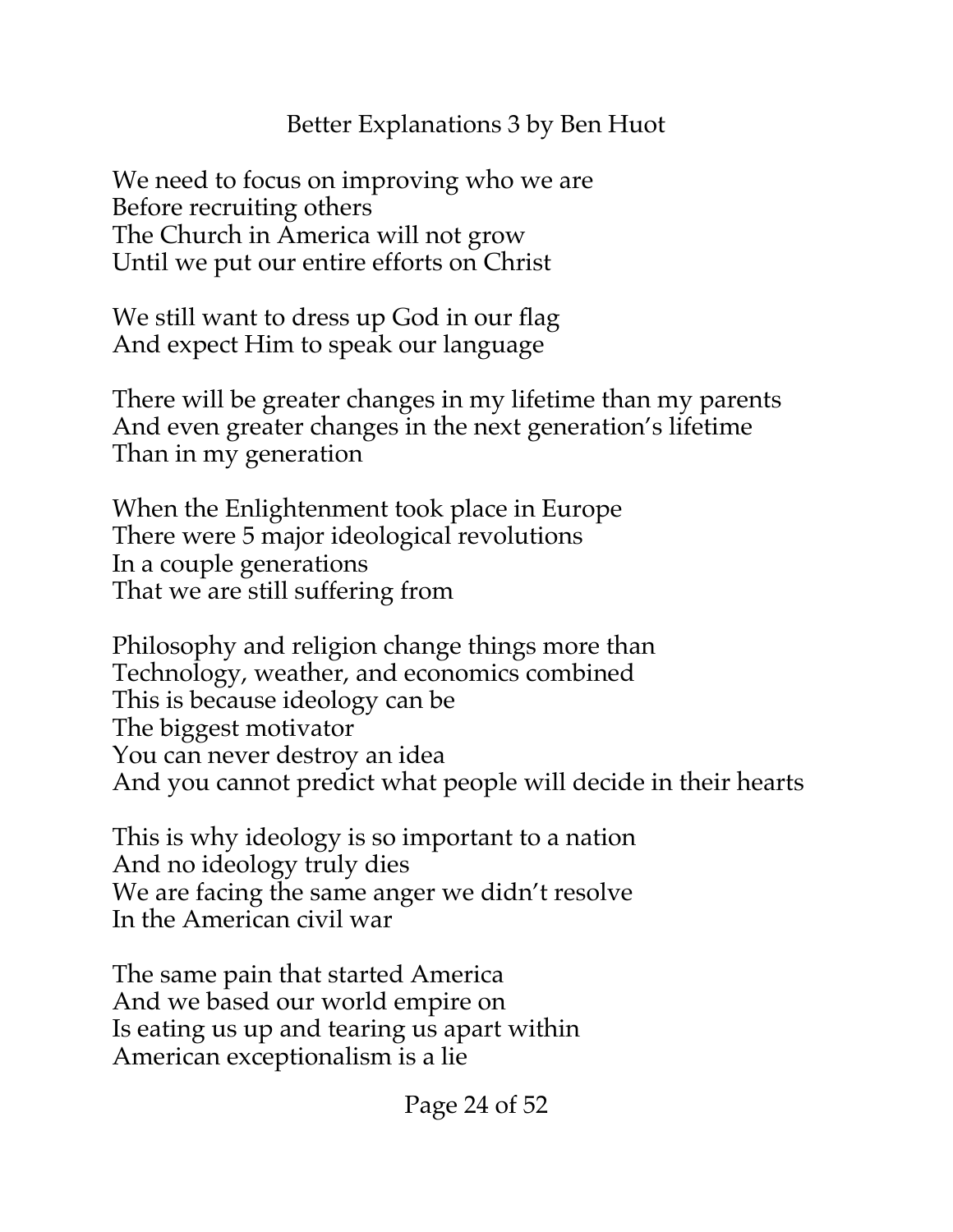We need to focus on improving who we are Before recruiting others The Church in America will not grow Until we put our entire efforts on Christ

We still want to dress up God in our flag And expect Him to speak our language

There will be greater changes in my lifetime than my parents And even greater changes in the next generation's lifetime Than in my generation

When the Enlightenment took place in Europe There were 5 major ideological revolutions In a couple generations That we are still suffering from

Philosophy and religion change things more than Technology, weather, and economics combined This is because ideology can be The biggest motivator You can never destroy an idea And you cannot predict what people will decide in their hearts

This is why ideology is so important to a nation And no ideology truly dies We are facing the same anger we didn't resolve In the American civil war

The same pain that started America And we based our world empire on Is eating us up and tearing us apart within American exceptionalism is a lie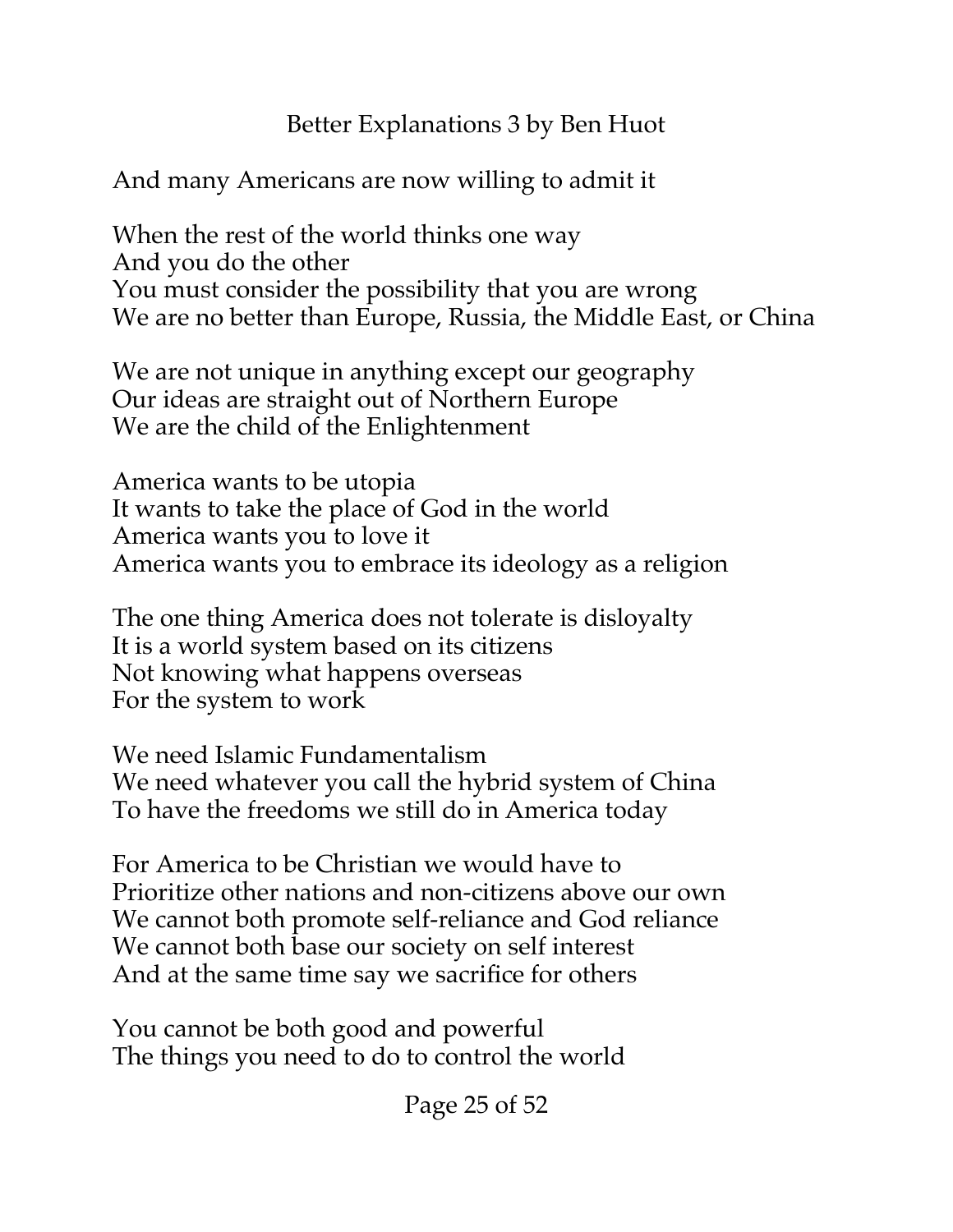And many Americans are now willing to admit it

When the rest of the world thinks one way And you do the other You must consider the possibility that you are wrong We are no better than Europe, Russia, the Middle East, or China

We are not unique in anything except our geography Our ideas are straight out of Northern Europe We are the child of the Enlightenment

America wants to be utopia It wants to take the place of God in the world America wants you to love it America wants you to embrace its ideology as a religion

The one thing America does not tolerate is disloyalty It is a world system based on its citizens Not knowing what happens overseas For the system to work

We need Islamic Fundamentalism We need whatever you call the hybrid system of China To have the freedoms we still do in America today

For America to be Christian we would have to Prioritize other nations and non-citizens above our own We cannot both promote self-reliance and God reliance We cannot both base our society on self interest And at the same time say we sacrifice for others

You cannot be both good and powerful The things you need to do to control the world

Page 25 of 52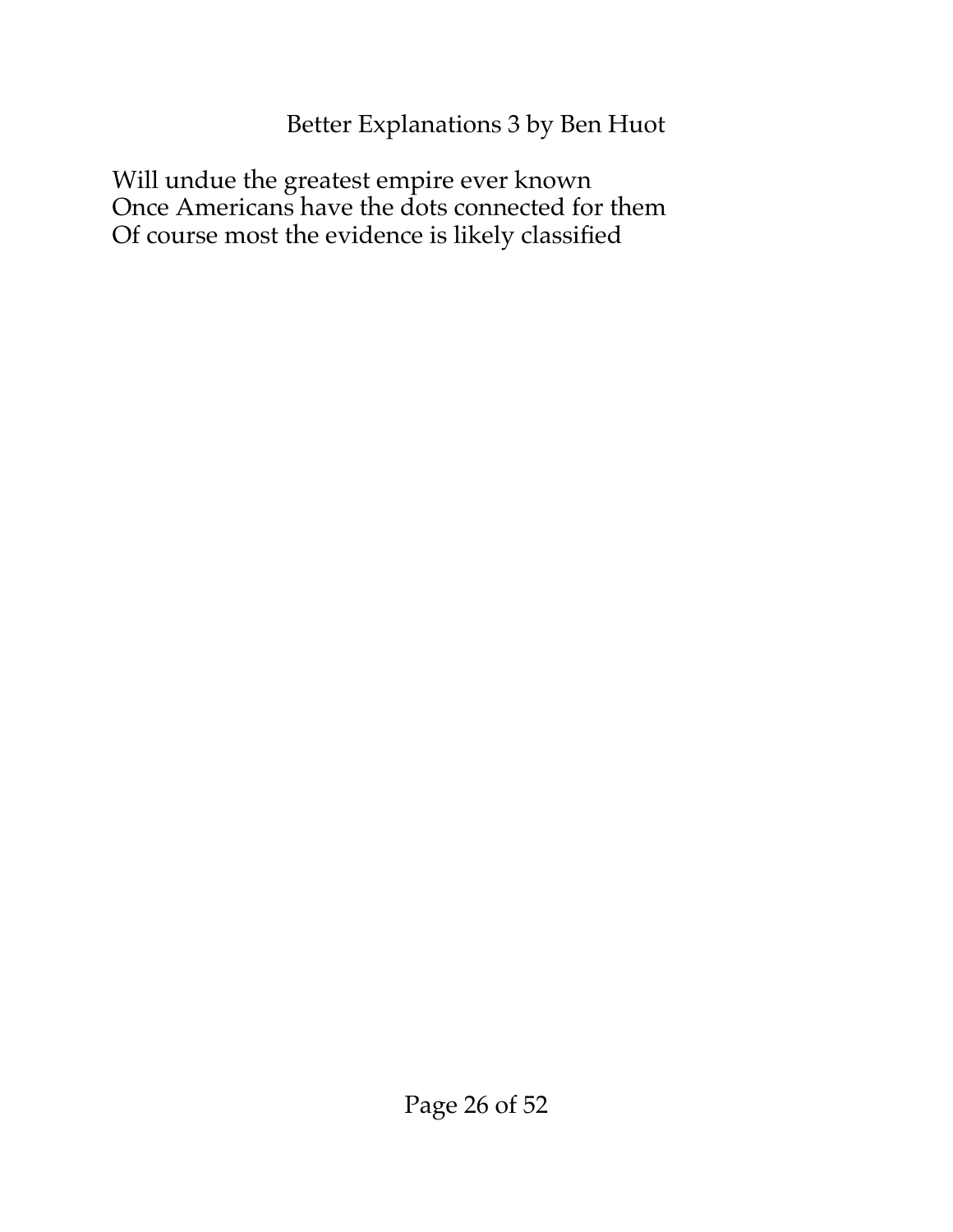Will undue the greatest empire ever known Once Americans have the dots connected for them Of course most the evidence is likely classified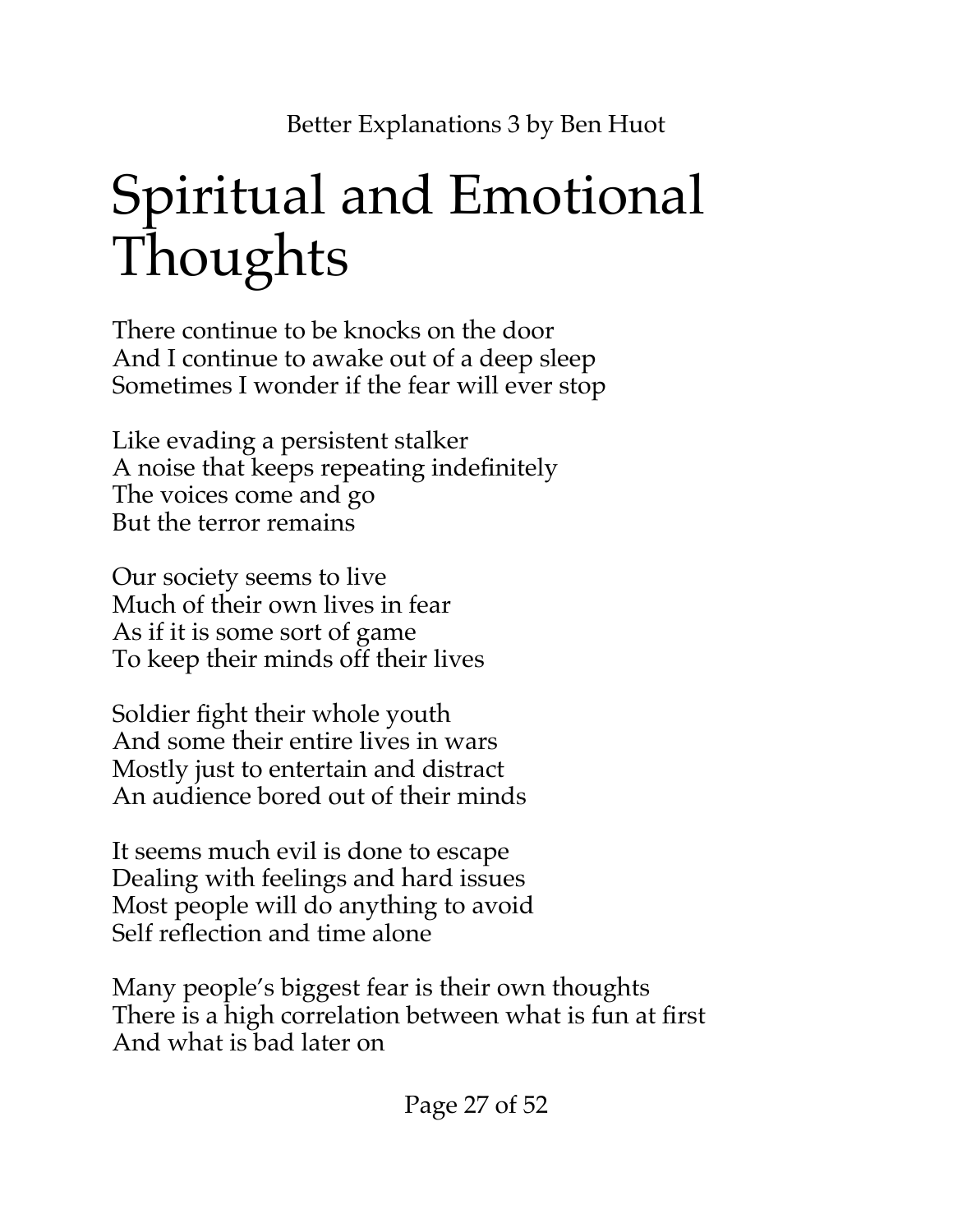### <span id="page-26-0"></span>Spiritual and Emotional **Thoughts**

There continue to be knocks on the door And I continue to awake out of a deep sleep Sometimes I wonder if the fear will ever stop

Like evading a persistent stalker A noise that keeps repeating indefinitely The voices come and go But the terror remains

Our society seems to live Much of their own lives in fear As if it is some sort of game To keep their minds off their lives

Soldier fight their whole youth And some their entire lives in wars Mostly just to entertain and distract An audience bored out of their minds

It seems much evil is done to escape Dealing with feelings and hard issues Most people will do anything to avoid Self reflection and time alone

Many people's biggest fear is their own thoughts There is a high correlation between what is fun at first And what is bad later on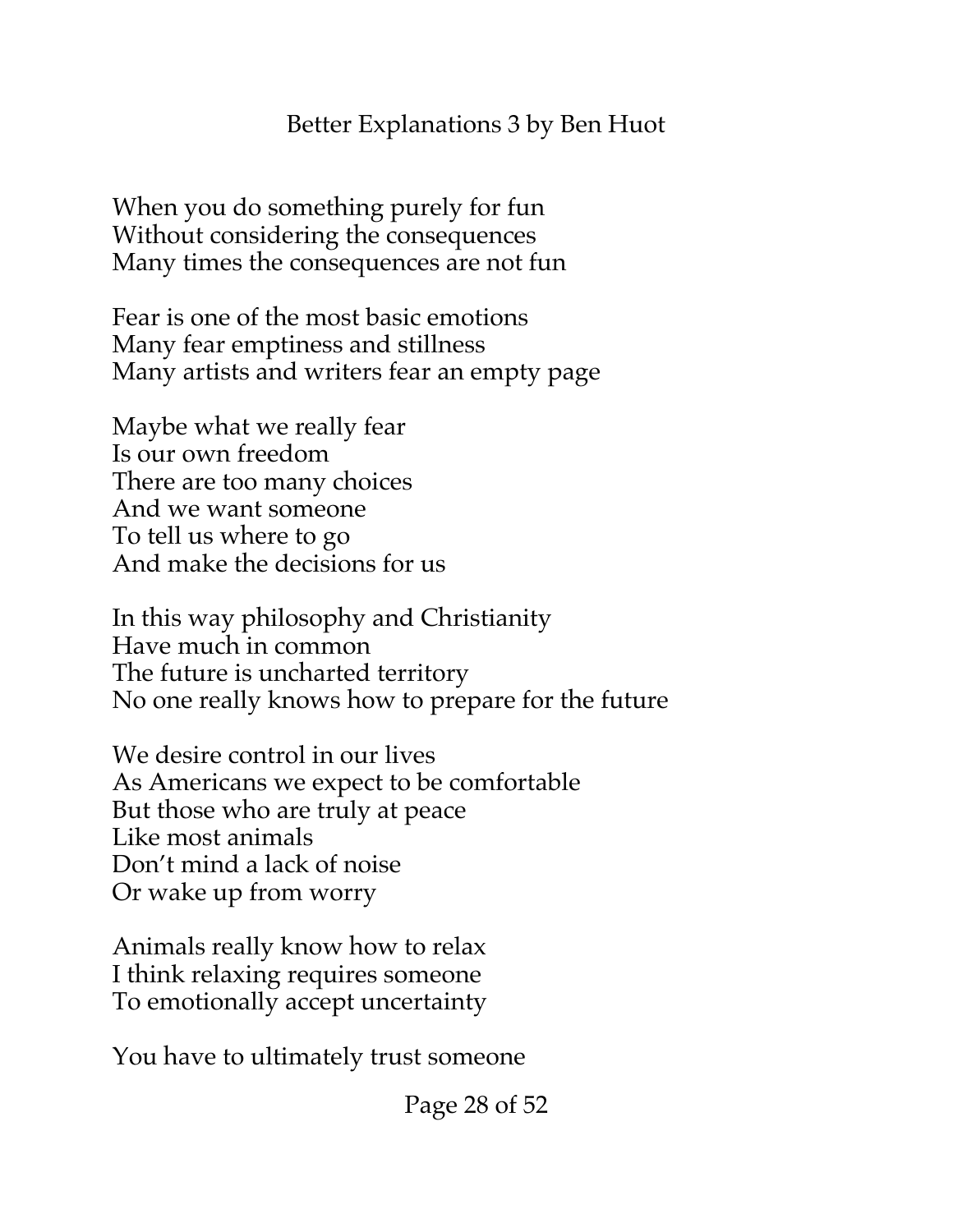When you do something purely for fun Without considering the consequences Many times the consequences are not fun

Fear is one of the most basic emotions Many fear emptiness and stillness Many artists and writers fear an empty page

Maybe what we really fear Is our own freedom There are too many choices And we want someone To tell us where to go And make the decisions for us

In this way philosophy and Christianity Have much in common The future is uncharted territory No one really knows how to prepare for the future

We desire control in our lives As Americans we expect to be comfortable But those who are truly at peace Like most animals Don't mind a lack of noise Or wake up from worry

Animals really know how to relax I think relaxing requires someone To emotionally accept uncertainty

You have to ultimately trust someone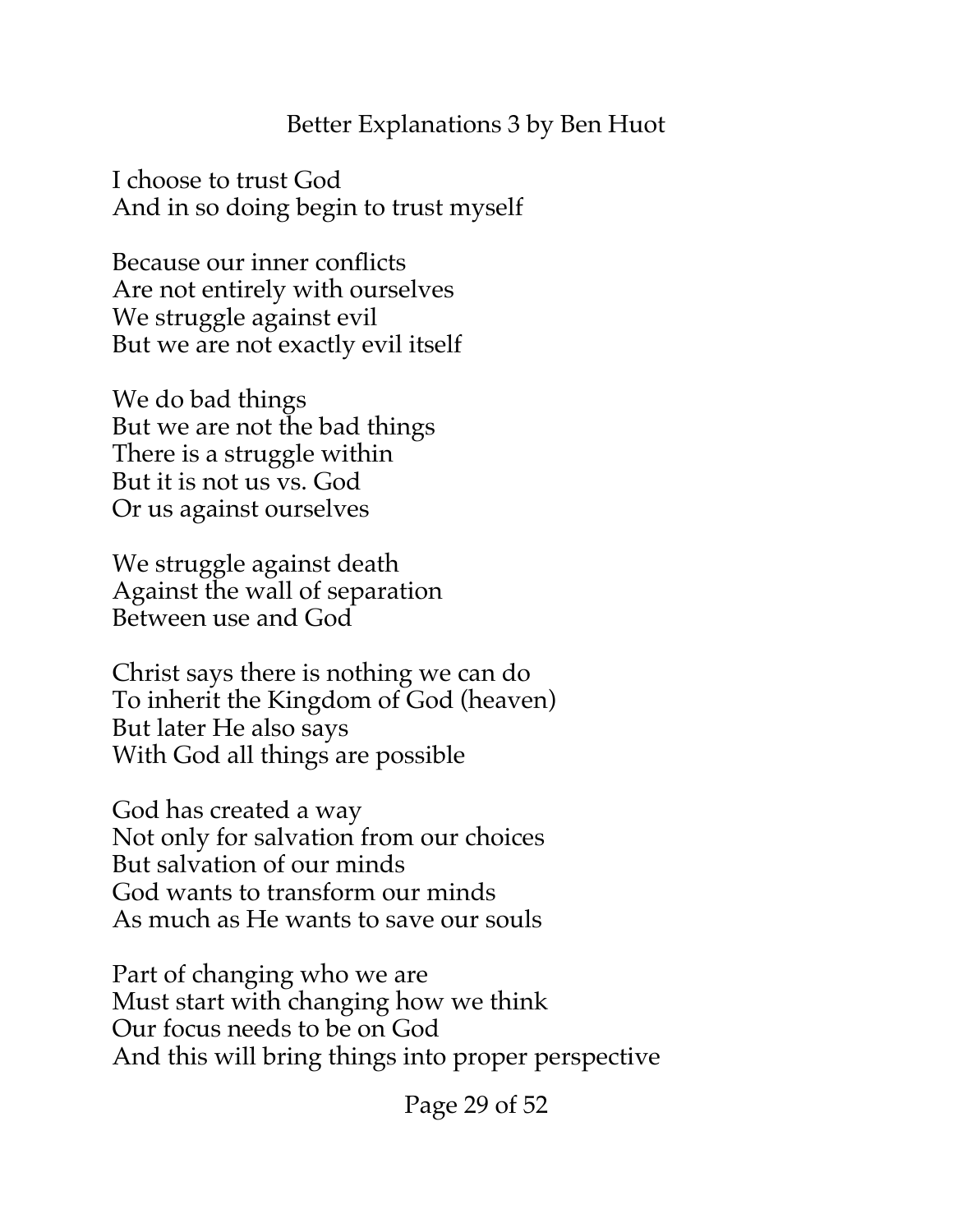I choose to trust God And in so doing begin to trust myself

Because our inner conflicts Are not entirely with ourselves We struggle against evil But we are not exactly evil itself

We do bad things But we are not the bad things There is a struggle within But it is not us vs. God Or us against ourselves

We struggle against death Against the wall of separation Between use and God

Christ says there is nothing we can do To inherit the Kingdom of God (heaven) But later He also says With God all things are possible

God has created a way Not only for salvation from our choices But salvation of our minds God wants to transform our minds As much as He wants to save our souls

Part of changing who we are Must start with changing how we think Our focus needs to be on God And this will bring things into proper perspective

Page 29 of 52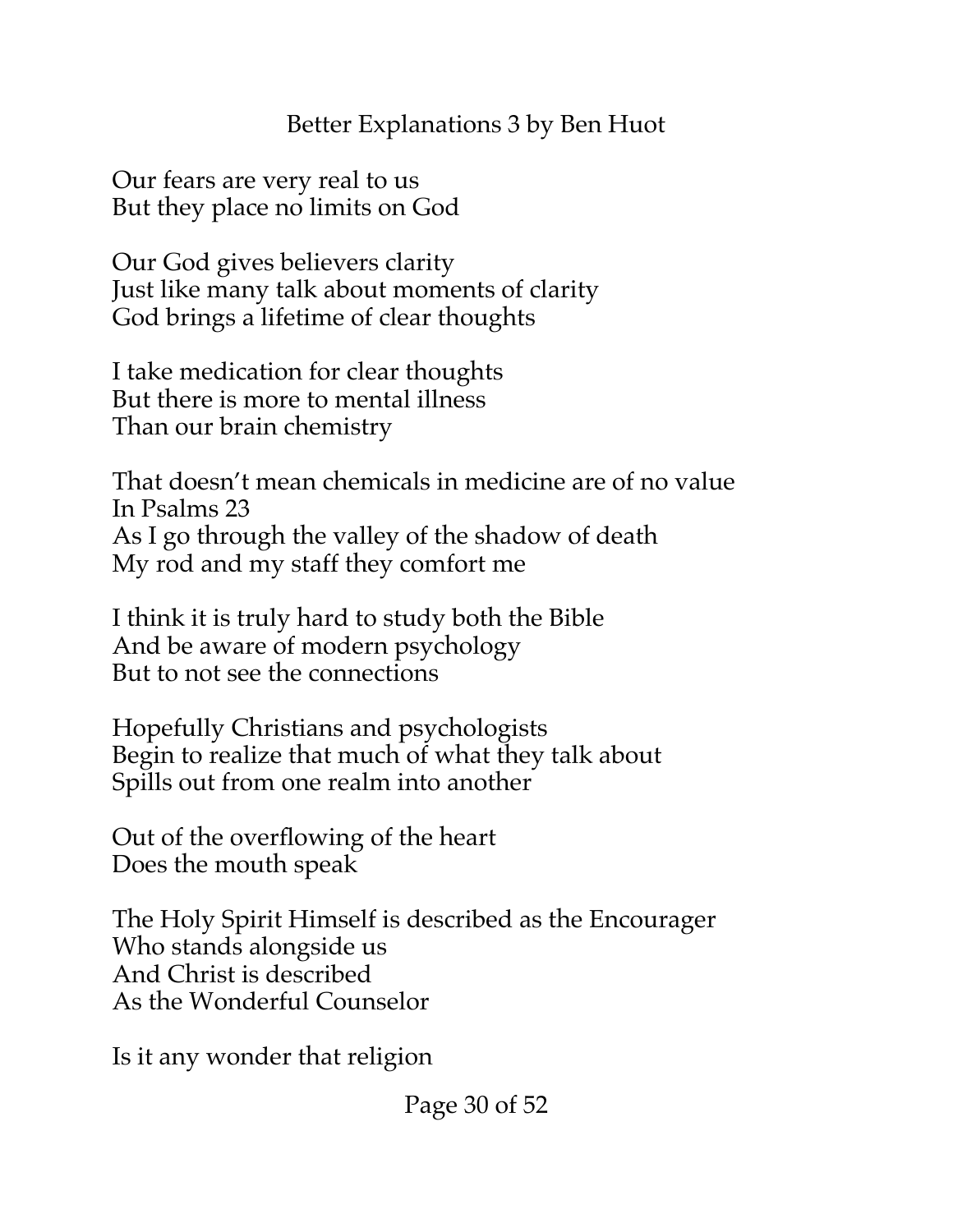Our fears are very real to us But they place no limits on God

Our God gives believers clarity Just like many talk about moments of clarity God brings a lifetime of clear thoughts

I take medication for clear thoughts But there is more to mental illness Than our brain chemistry

That doesn't mean chemicals in medicine are of no value In Psalms 23 As I go through the valley of the shadow of death My rod and my staff they comfort me

I think it is truly hard to study both the Bible And be aware of modern psychology But to not see the connections

Hopefully Christians and psychologists Begin to realize that much of what they talk about Spills out from one realm into another

Out of the overflowing of the heart Does the mouth speak

The Holy Spirit Himself is described as the Encourager Who stands alongside us And Christ is described As the Wonderful Counselor

Is it any wonder that religion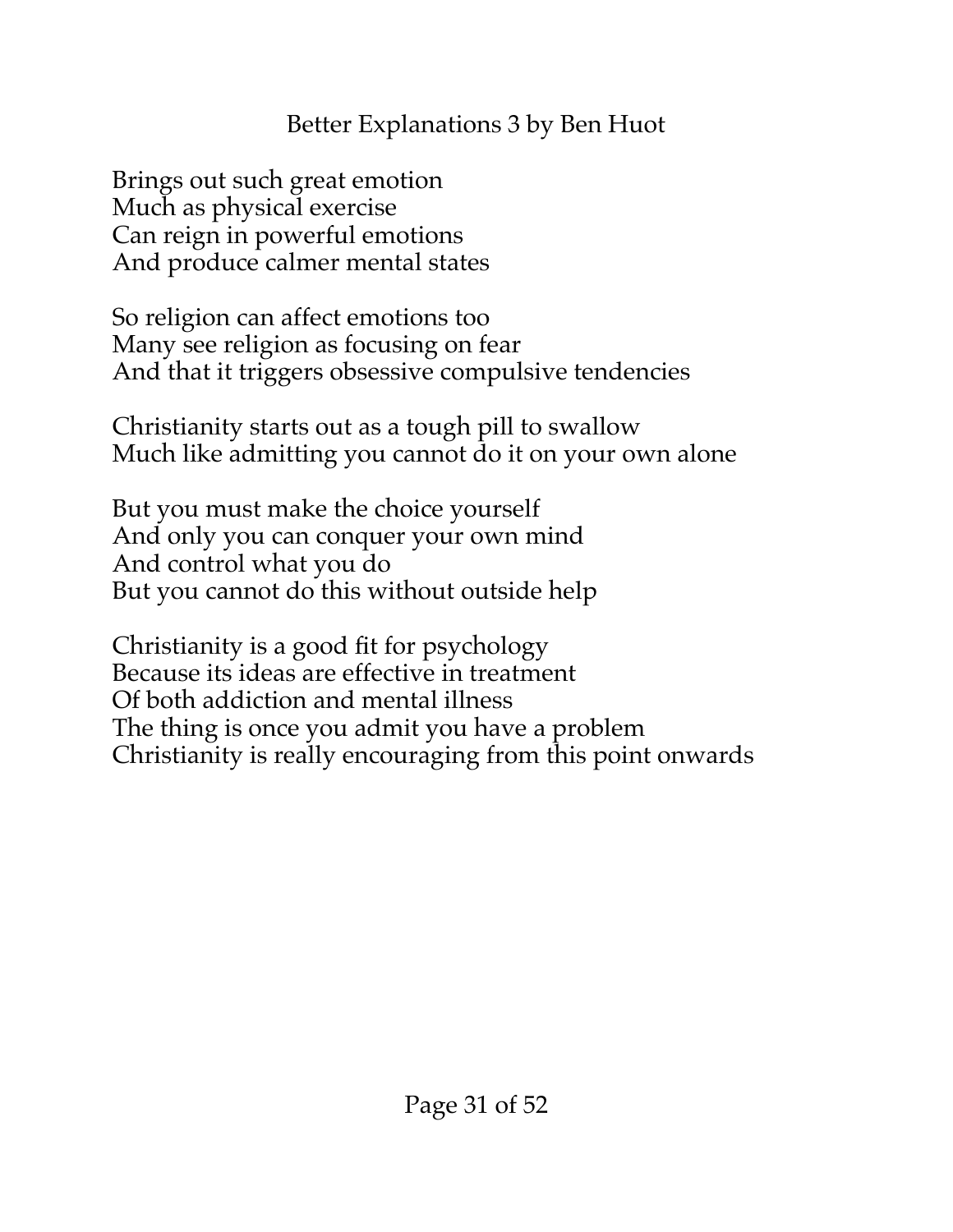Brings out such great emotion Much as physical exercise Can reign in powerful emotions And produce calmer mental states

So religion can affect emotions too Many see religion as focusing on fear And that it triggers obsessive compulsive tendencies

Christianity starts out as a tough pill to swallow Much like admitting you cannot do it on your own alone

But you must make the choice yourself And only you can conquer your own mind And control what you do But you cannot do this without outside help

Christianity is a good fit for psychology Because its ideas are effective in treatment Of both addiction and mental illness The thing is once you admit you have a problem Christianity is really encouraging from this point onwards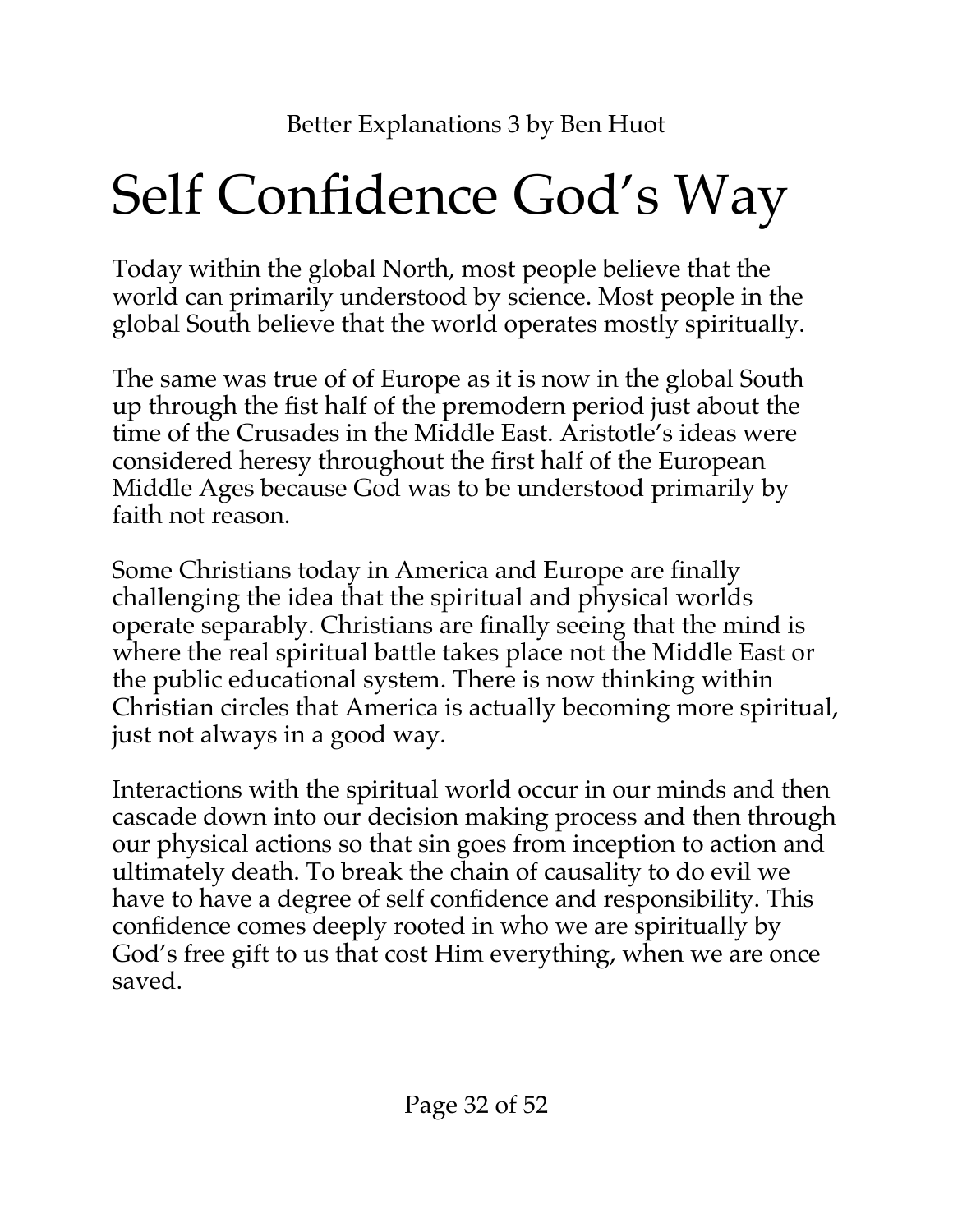### <span id="page-31-0"></span>Self Confidence God's Way

Today within the global North, most people believe that the world can primarily understood by science. Most people in the global South believe that the world operates mostly spiritually.

The same was true of of Europe as it is now in the global South up through the fist half of the premodern period just about the time of the Crusades in the Middle East. Aristotle's ideas were considered heresy throughout the first half of the European Middle Ages because God was to be understood primarily by faith not reason.

Some Christians today in America and Europe are finally challenging the idea that the spiritual and physical worlds operate separably. Christians are finally seeing that the mind is where the real spiritual battle takes place not the Middle East or the public educational system. There is now thinking within Christian circles that America is actually becoming more spiritual, just not always in a good way.

Interactions with the spiritual world occur in our minds and then cascade down into our decision making process and then through our physical actions so that sin goes from inception to action and ultimately death. To break the chain of causality to do evil we have to have a degree of self confidence and responsibility. This confidence comes deeply rooted in who we are spiritually by God's free gift to us that cost Him everything, when we are once saved.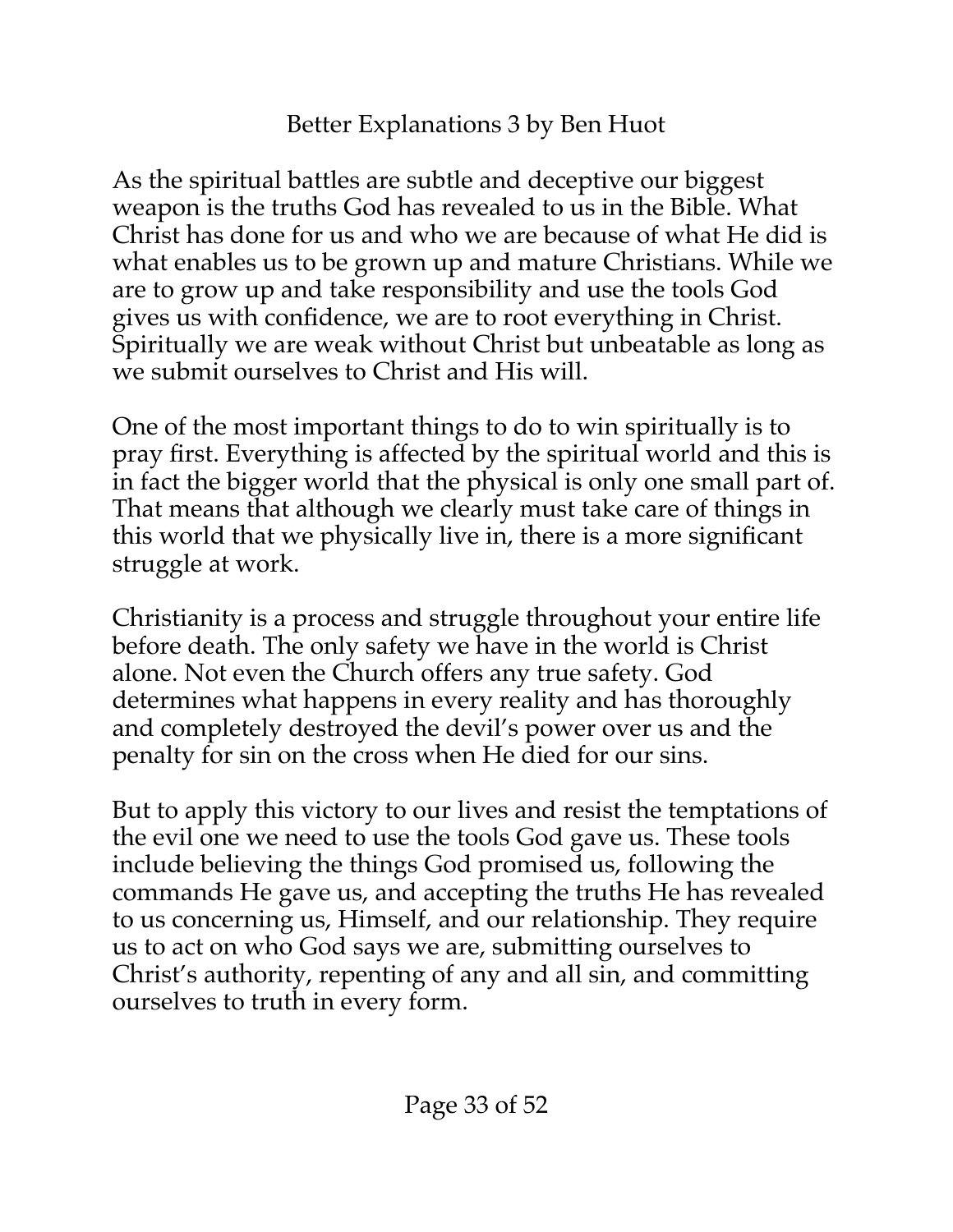As the spiritual battles are subtle and deceptive our biggest weapon is the truths God has revealed to us in the Bible. What Christ has done for us and who we are because of what He did is what enables us to be grown up and mature Christians. While we are to grow up and take responsibility and use the tools God gives us with confidence, we are to root everything in Christ. Spiritually we are weak without Christ but unbeatable as long as we submit ourselves to Christ and His will.

One of the most important things to do to win spiritually is to pray first. Everything is affected by the spiritual world and this is in fact the bigger world that the physical is only one small part of. That means that although we clearly must take care of things in this world that we physically live in, there is a more significant struggle at work.

Christianity is a process and struggle throughout your entire life before death. The only safety we have in the world is Christ alone. Not even the Church offers any true safety. God determines what happens in every reality and has thoroughly and completely destroyed the devil's power over us and the penalty for sin on the cross when He died for our sins.

But to apply this victory to our lives and resist the temptations of the evil one we need to use the tools God gave us. These tools include believing the things God promised us, following the commands He gave us, and accepting the truths He has revealed to us concerning us, Himself, and our relationship. They require us to act on who God says we are, submitting ourselves to Christ's authority, repenting of any and all sin, and committing ourselves to truth in every form.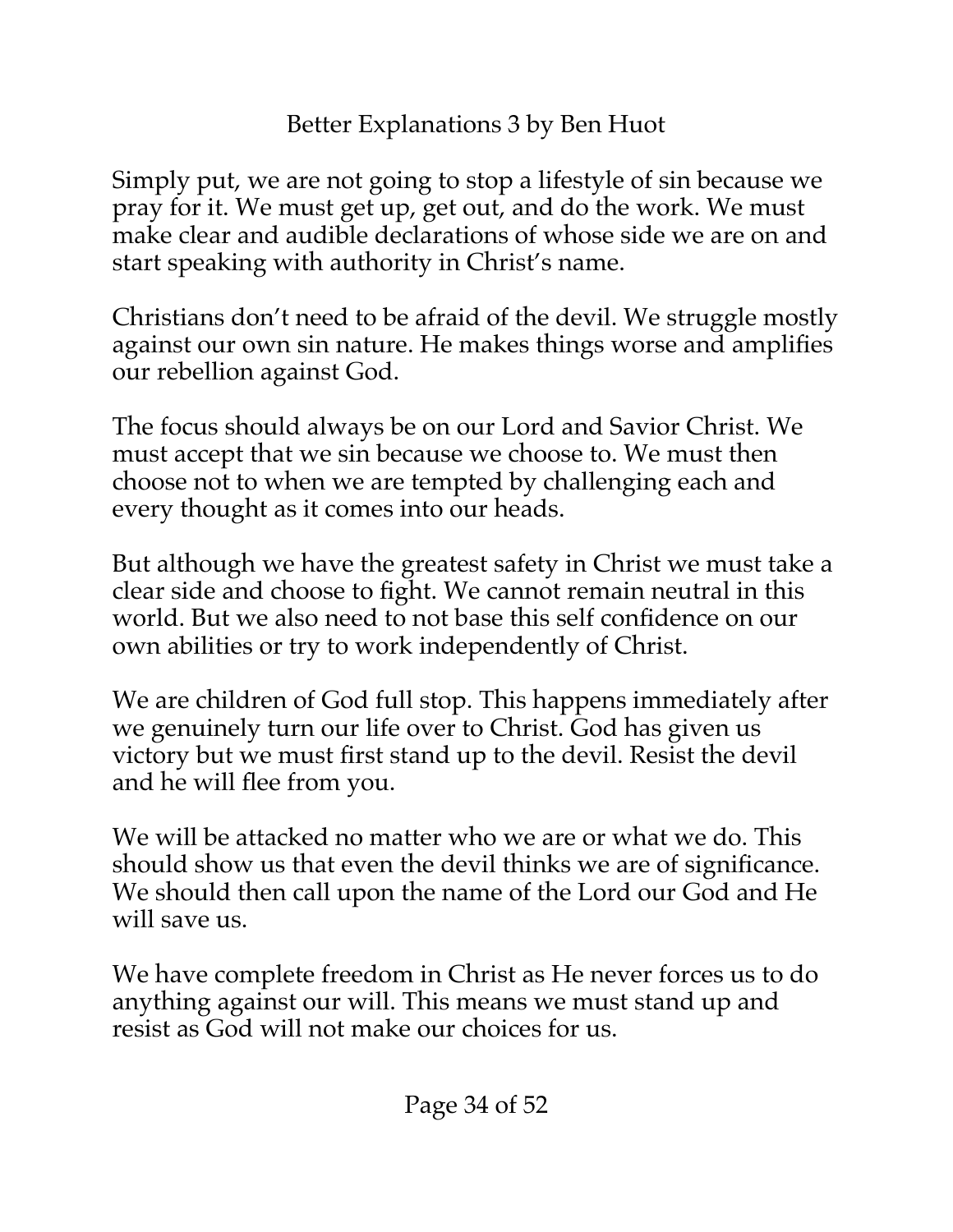Simply put, we are not going to stop a lifestyle of sin because we pray for it. We must get up, get out, and do the work. We must make clear and audible declarations of whose side we are on and start speaking with authority in Christ's name.

Christians don't need to be afraid of the devil. We struggle mostly against our own sin nature. He makes things worse and amplifies our rebellion against God.

The focus should always be on our Lord and Savior Christ. We must accept that we sin because we choose to. We must then choose not to when we are tempted by challenging each and every thought as it comes into our heads.

But although we have the greatest safety in Christ we must take a clear side and choose to fight. We cannot remain neutral in this world. But we also need to not base this self confidence on our own abilities or try to work independently of Christ.

We are children of God full stop. This happens immediately after we genuinely turn our life over to Christ. God has given us victory but we must first stand up to the devil. Resist the devil and he will flee from you.

We will be attacked no matter who we are or what we do. This should show us that even the devil thinks we are of significance. We should then call upon the name of the Lord our God and He will save us.

We have complete freedom in Christ as He never forces us to do anything against our will. This means we must stand up and resist as God will not make our choices for us.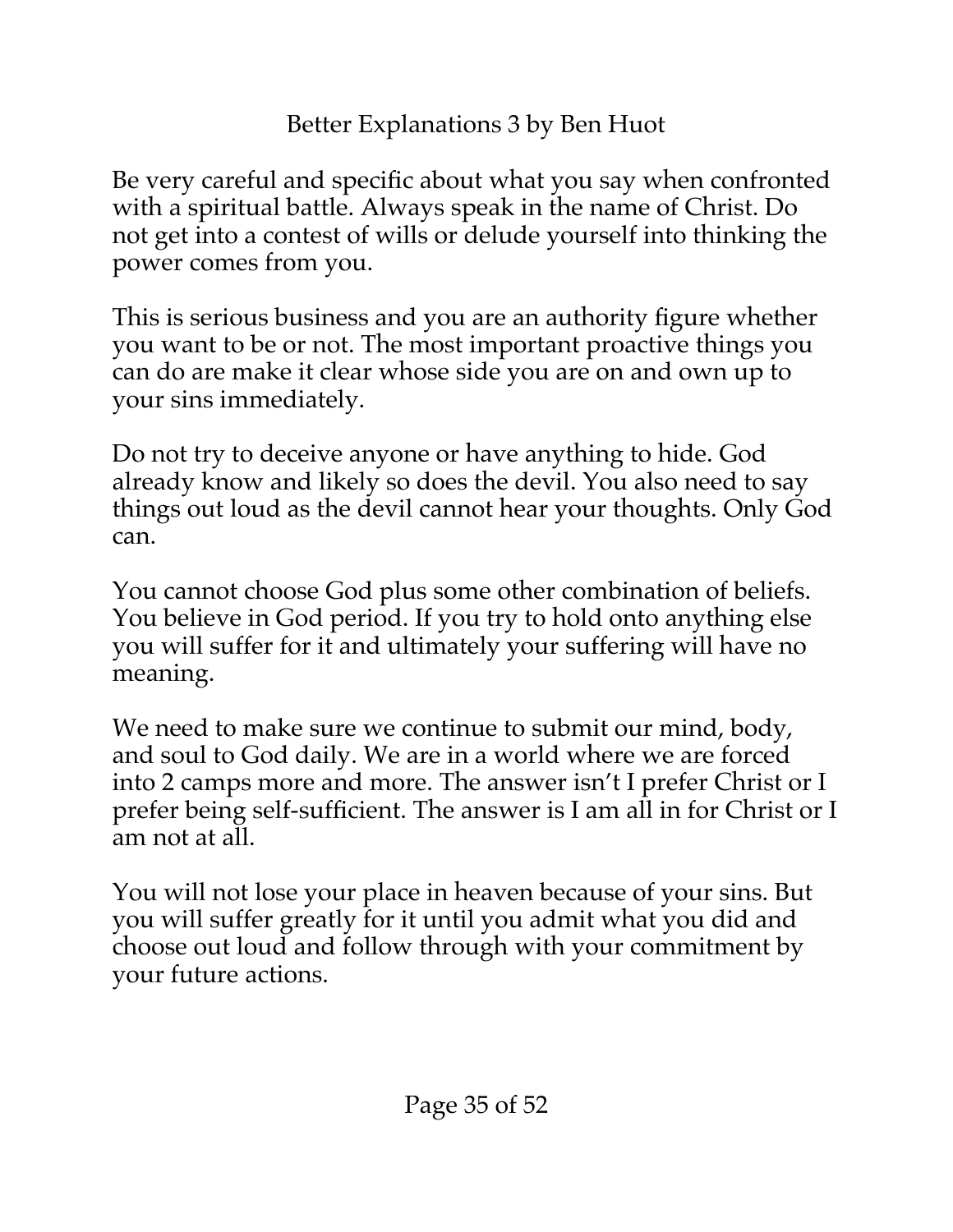Be very careful and specific about what you say when confronted with a spiritual battle. Always speak in the name of Christ. Do not get into a contest of wills or delude yourself into thinking the power comes from you.

This is serious business and you are an authority figure whether you want to be or not. The most important proactive things you can do are make it clear whose side you are on and own up to your sins immediately.

Do not try to deceive anyone or have anything to hide. God already know and likely so does the devil. You also need to say things out loud as the devil cannot hear your thoughts. Only God can.

You cannot choose God plus some other combination of beliefs. You believe in God period. If you try to hold onto anything else you will suffer for it and ultimately your suffering will have no meaning.

We need to make sure we continue to submit our mind, body, and soul to God daily. We are in a world where we are forced into 2 camps more and more. The answer isn't I prefer Christ or I prefer being self-sufficient. The answer is I am all in for Christ or I am not at all.

You will not lose your place in heaven because of your sins. But you will suffer greatly for it until you admit what you did and choose out loud and follow through with your commitment by your future actions.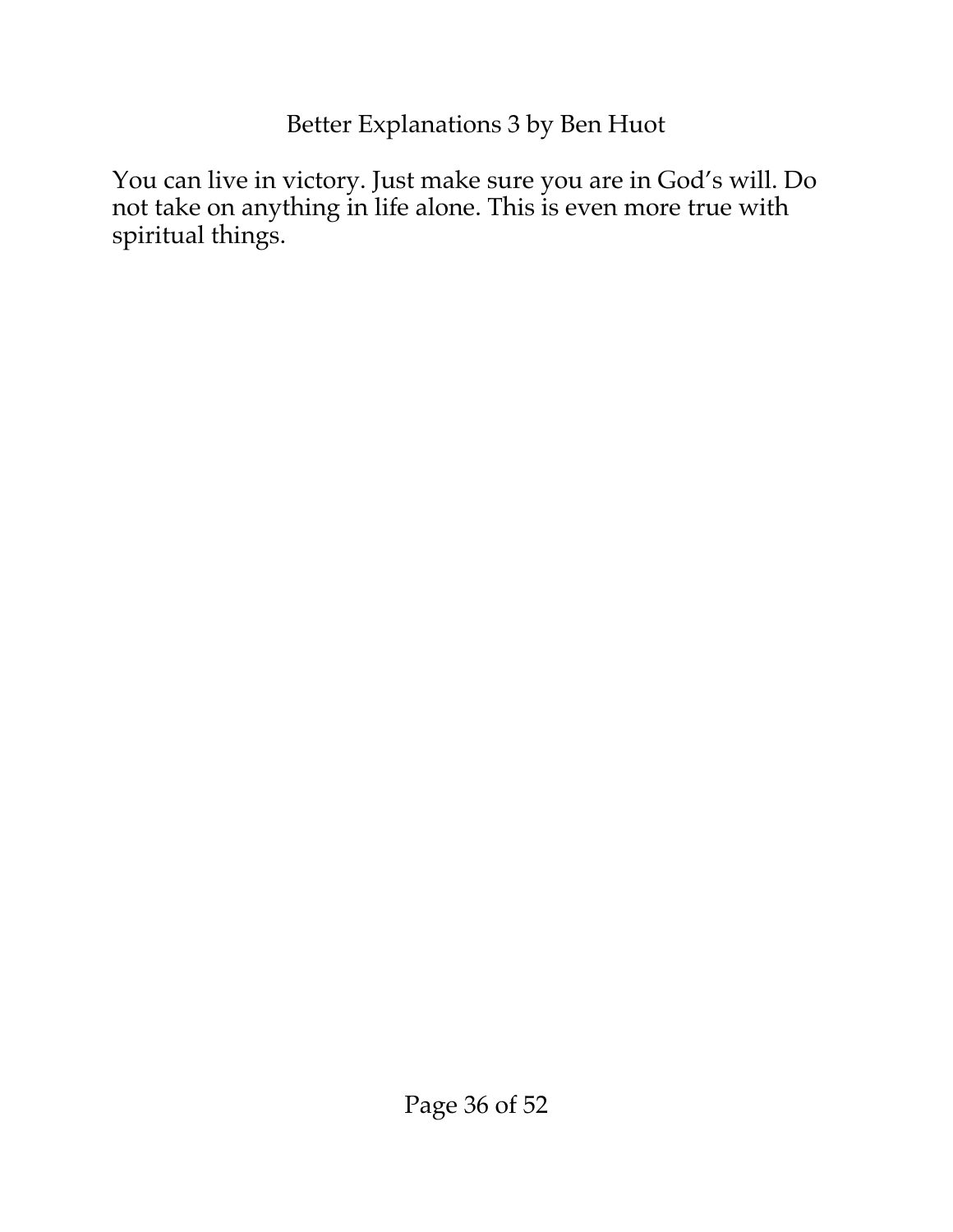You can live in victory. Just make sure you are in God's will. Do not take on anything in life alone. This is even more true with spiritual things.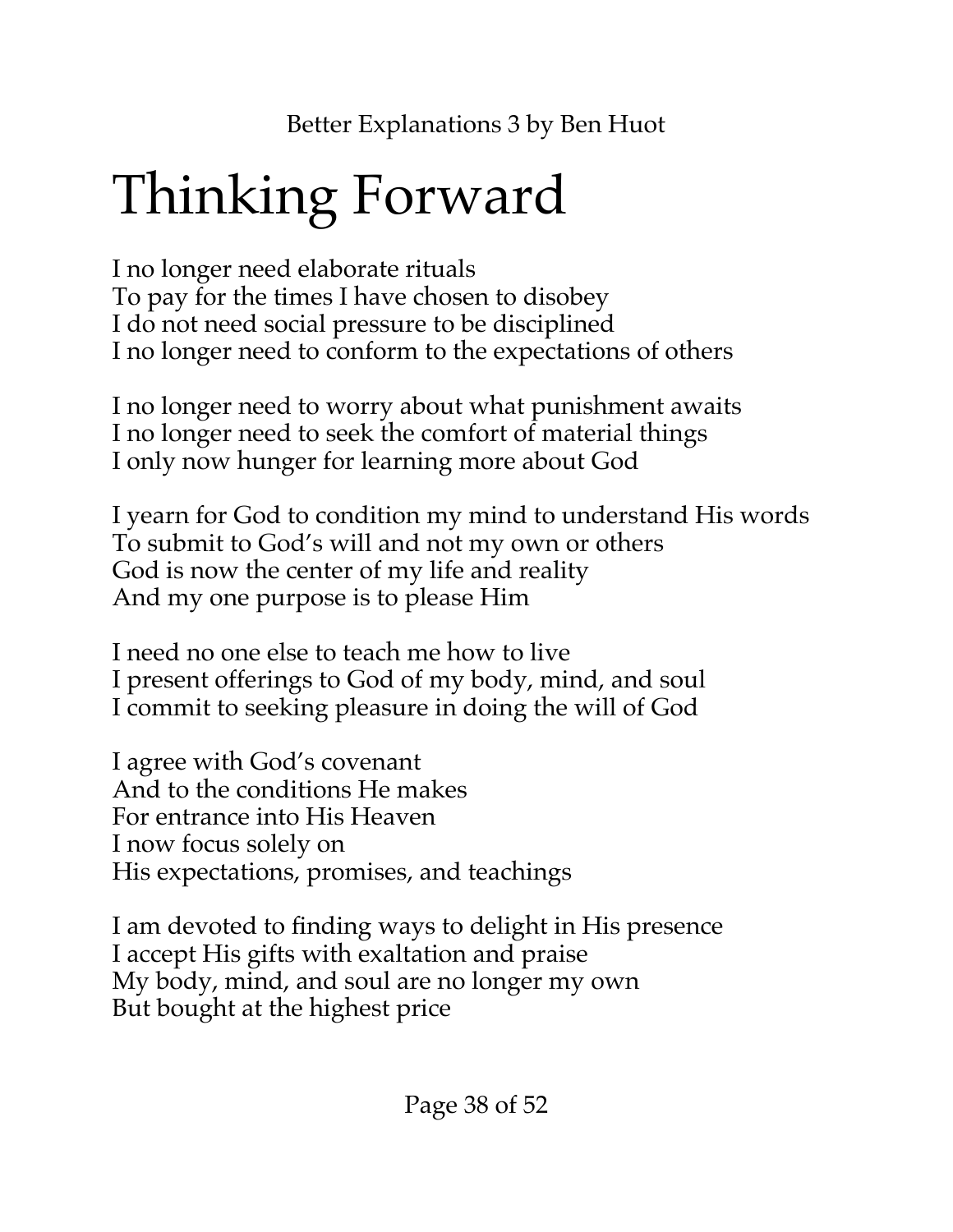## <span id="page-37-0"></span>Thinking Forward

I no longer need elaborate rituals To pay for the times I have chosen to disobey I do not need social pressure to be disciplined I no longer need to conform to the expectations of others

I no longer need to worry about what punishment awaits I no longer need to seek the comfort of material things I only now hunger for learning more about God

I yearn for God to condition my mind to understand His words To submit to God's will and not my own or others God is now the center of my life and reality And my one purpose is to please Him

I need no one else to teach me how to live I present offerings to God of my body, mind, and soul I commit to seeking pleasure in doing the will of God

I agree with God's covenant And to the conditions He makes For entrance into His Heaven I now focus solely on His expectations, promises, and teachings

I am devoted to finding ways to delight in His presence I accept His gifts with exaltation and praise My body, mind, and soul are no longer my own But bought at the highest price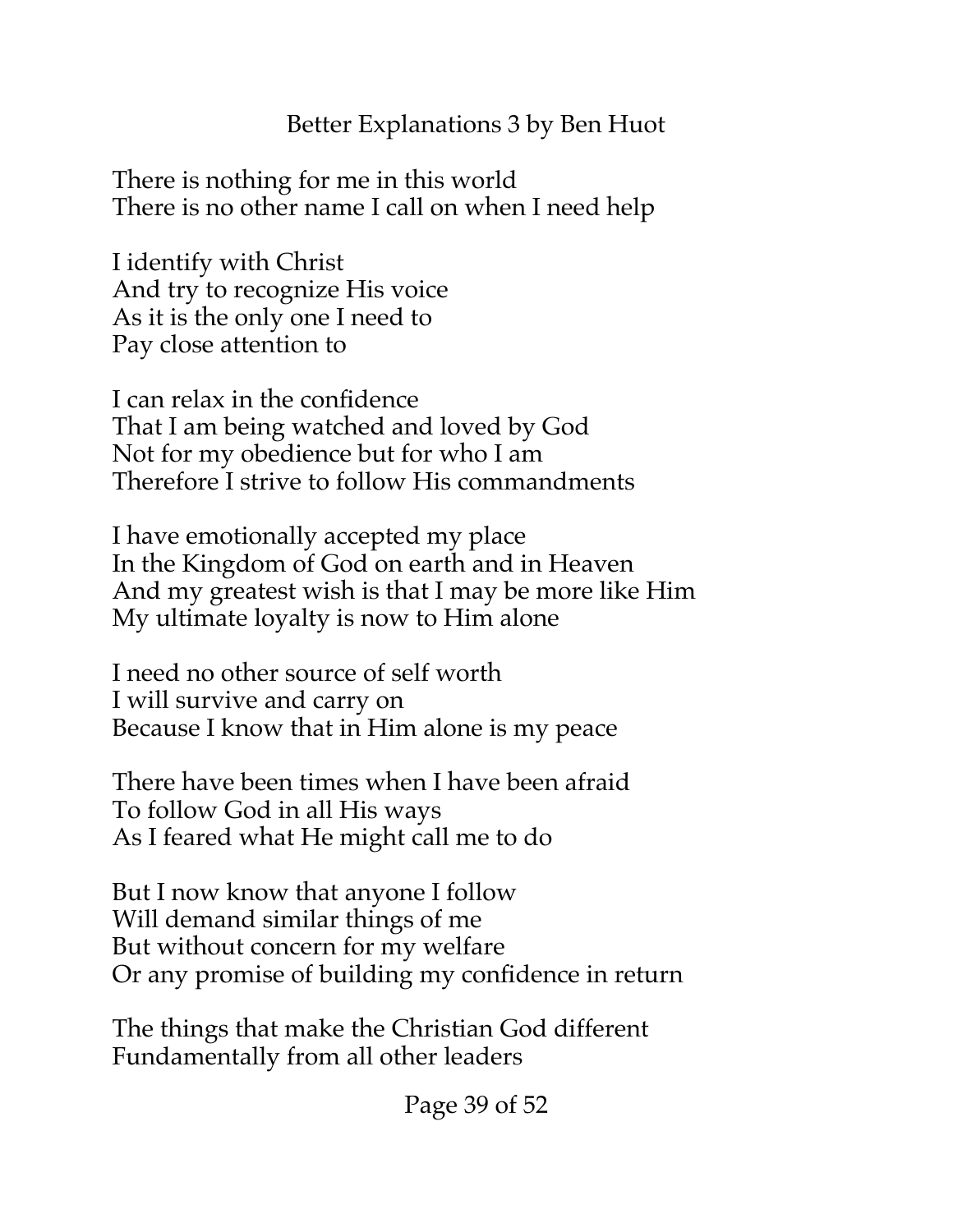There is nothing for me in this world There is no other name I call on when I need help

I identify with Christ And try to recognize His voice As it is the only one I need to Pay close attention to

I can relax in the confidence That I am being watched and loved by God Not for my obedience but for who I am Therefore I strive to follow His commandments

I have emotionally accepted my place In the Kingdom of God on earth and in Heaven And my greatest wish is that I may be more like Him My ultimate loyalty is now to Him alone

I need no other source of self worth I will survive and carry on Because I know that in Him alone is my peace

There have been times when I have been afraid To follow God in all His ways As I feared what He might call me to do

But I now know that anyone I follow Will demand similar things of me But without concern for my welfare Or any promise of building my confidence in return

The things that make the Christian God different Fundamentally from all other leaders

Page 39 of 52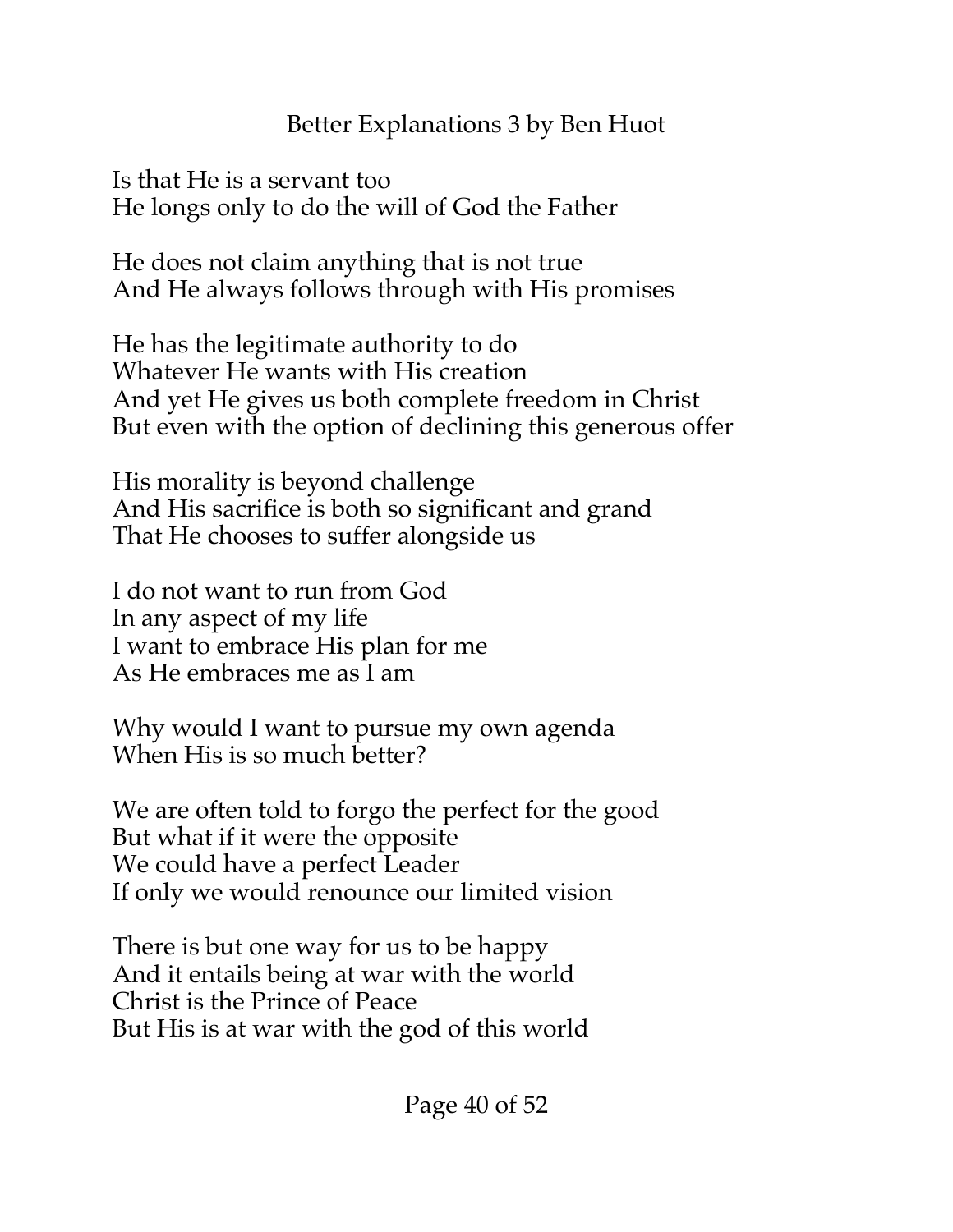Is that He is a servant too He longs only to do the will of God the Father

He does not claim anything that is not true And He always follows through with His promises

He has the legitimate authority to do Whatever He wants with His creation And yet He gives us both complete freedom in Christ But even with the option of declining this generous offer

His morality is beyond challenge And His sacrifice is both so significant and grand That He chooses to suffer alongside us

I do not want to run from God In any aspect of my life I want to embrace His plan for me As He embraces me as I am

Why would I want to pursue my own agenda When His is so much better?

We are often told to forgo the perfect for the good But what if it were the opposite We could have a perfect Leader If only we would renounce our limited vision

There is but one way for us to be happy And it entails being at war with the world Christ is the Prince of Peace But His is at war with the god of this world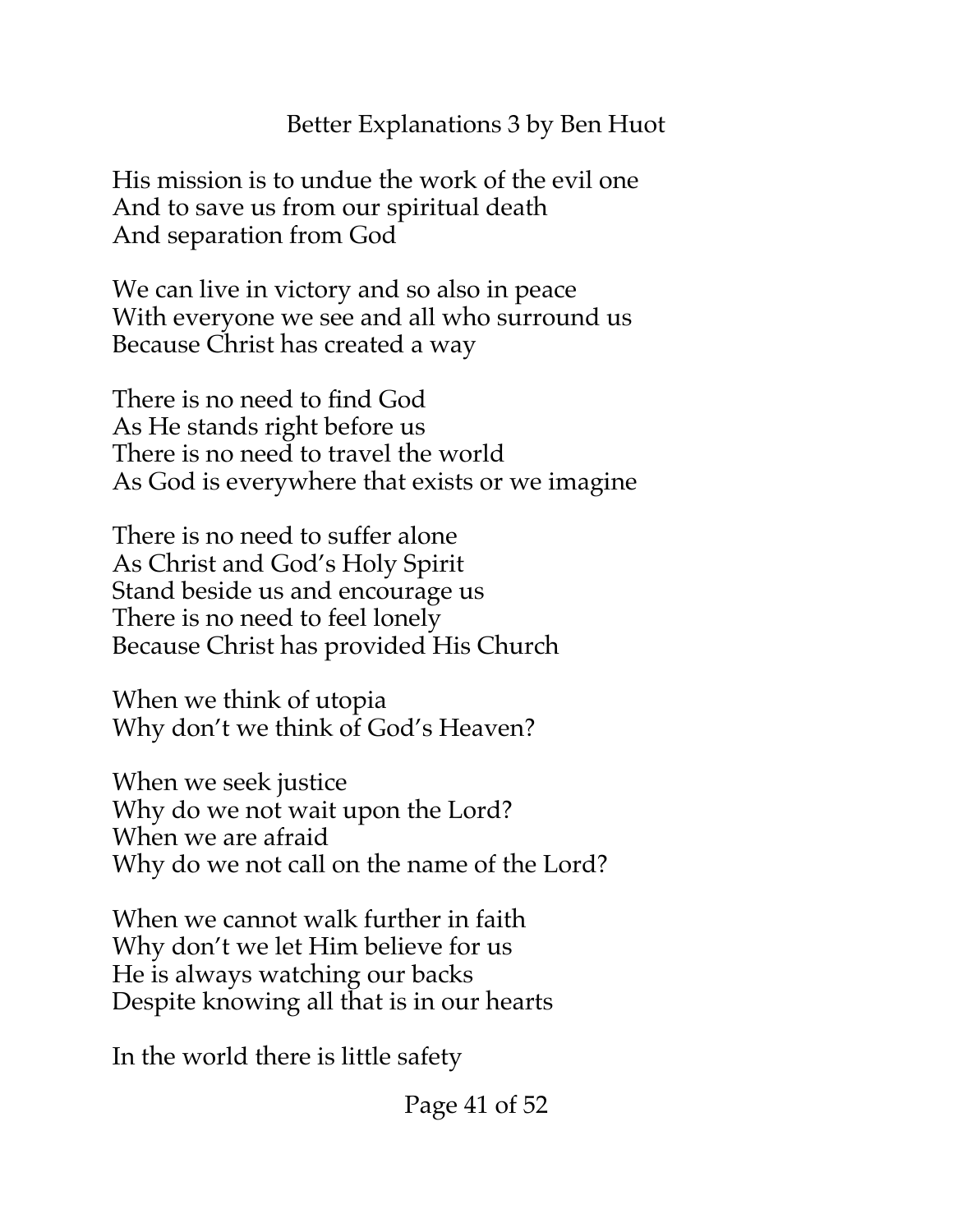His mission is to undue the work of the evil one And to save us from our spiritual death And separation from God

We can live in victory and so also in peace With everyone we see and all who surround us Because Christ has created a way

There is no need to find God As He stands right before us There is no need to travel the world As God is everywhere that exists or we imagine

There is no need to suffer alone As Christ and God's Holy Spirit Stand beside us and encourage us There is no need to feel lonely Because Christ has provided His Church

When we think of utopia Why don't we think of God's Heaven?

When we seek justice Why do we not wait upon the Lord? When we are afraid Why do we not call on the name of the Lord?

When we cannot walk further in faith Why don't we let Him believe for us He is always watching our backs Despite knowing all that is in our hearts

In the world there is little safety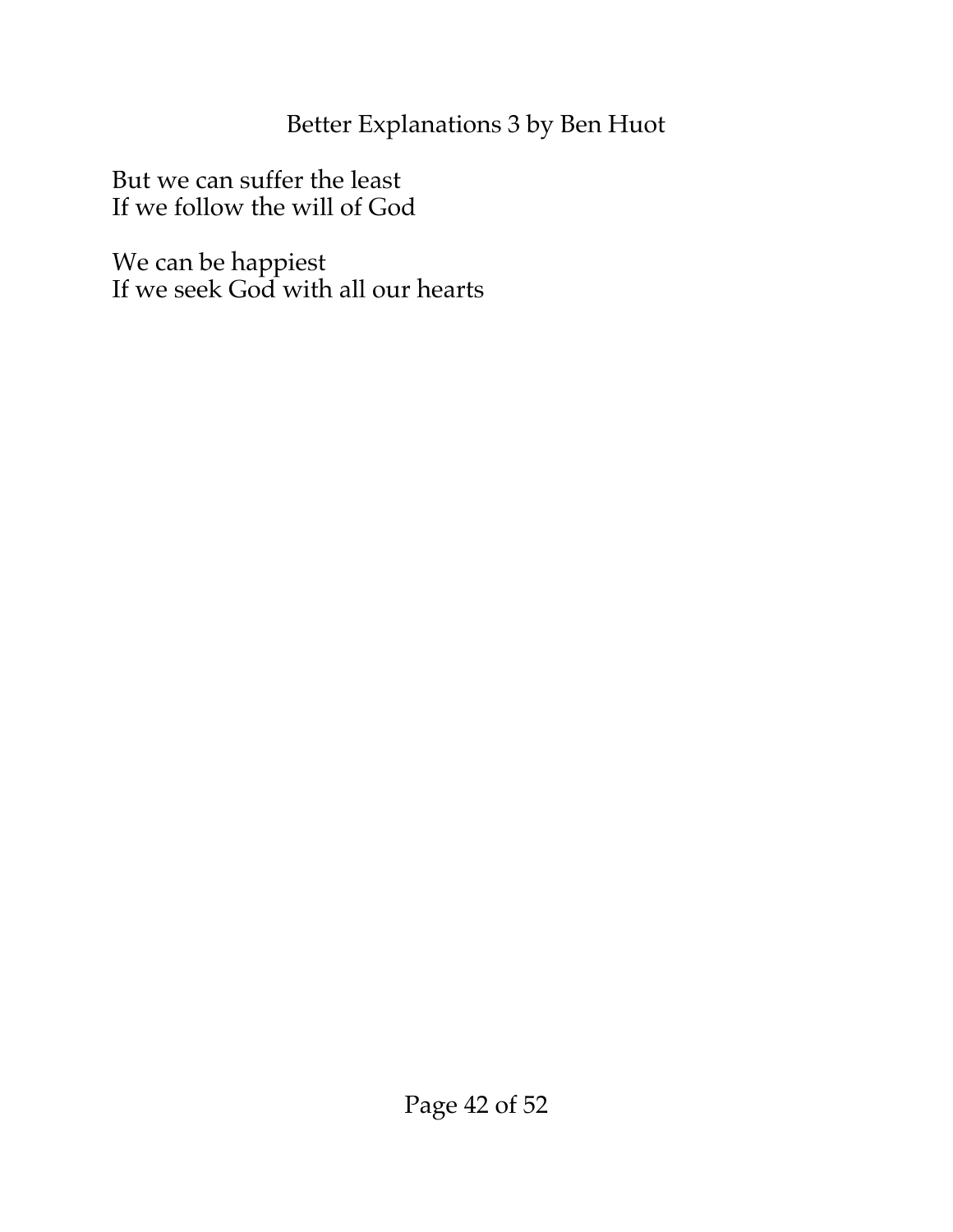But we can suffer the least If we follow the will of God

We can be happiest If we seek God with all our hearts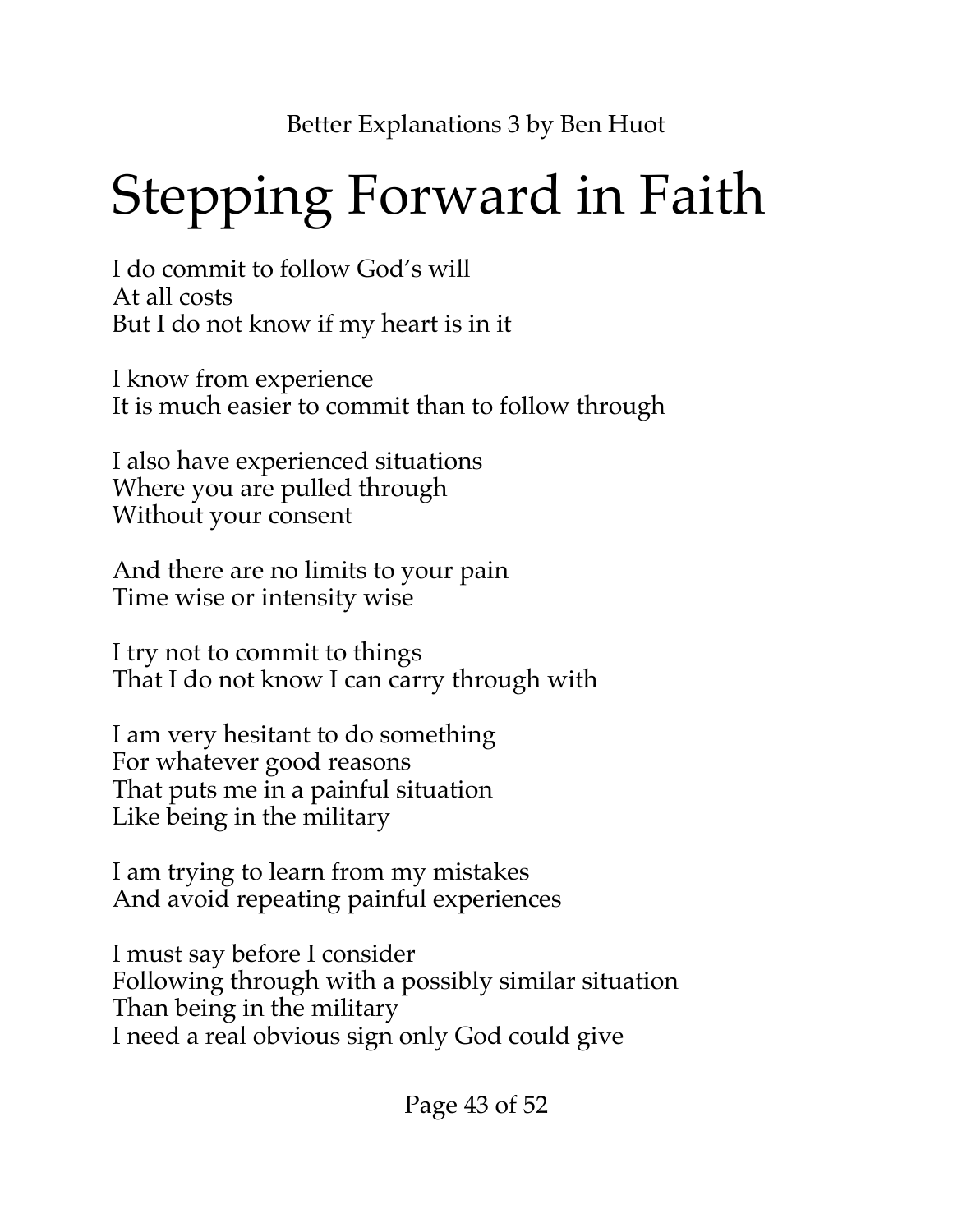# <span id="page-42-0"></span>Stepping Forward in Faith

I do commit to follow God's will At all costs But I do not know if my heart is in it

I know from experience It is much easier to commit than to follow through

I also have experienced situations Where you are pulled through Without your consent

And there are no limits to your pain Time wise or intensity wise

I try not to commit to things That I do not know I can carry through with

I am very hesitant to do something For whatever good reasons That puts me in a painful situation Like being in the military

I am trying to learn from my mistakes And avoid repeating painful experiences

I must say before I consider Following through with a possibly similar situation Than being in the military I need a real obvious sign only God could give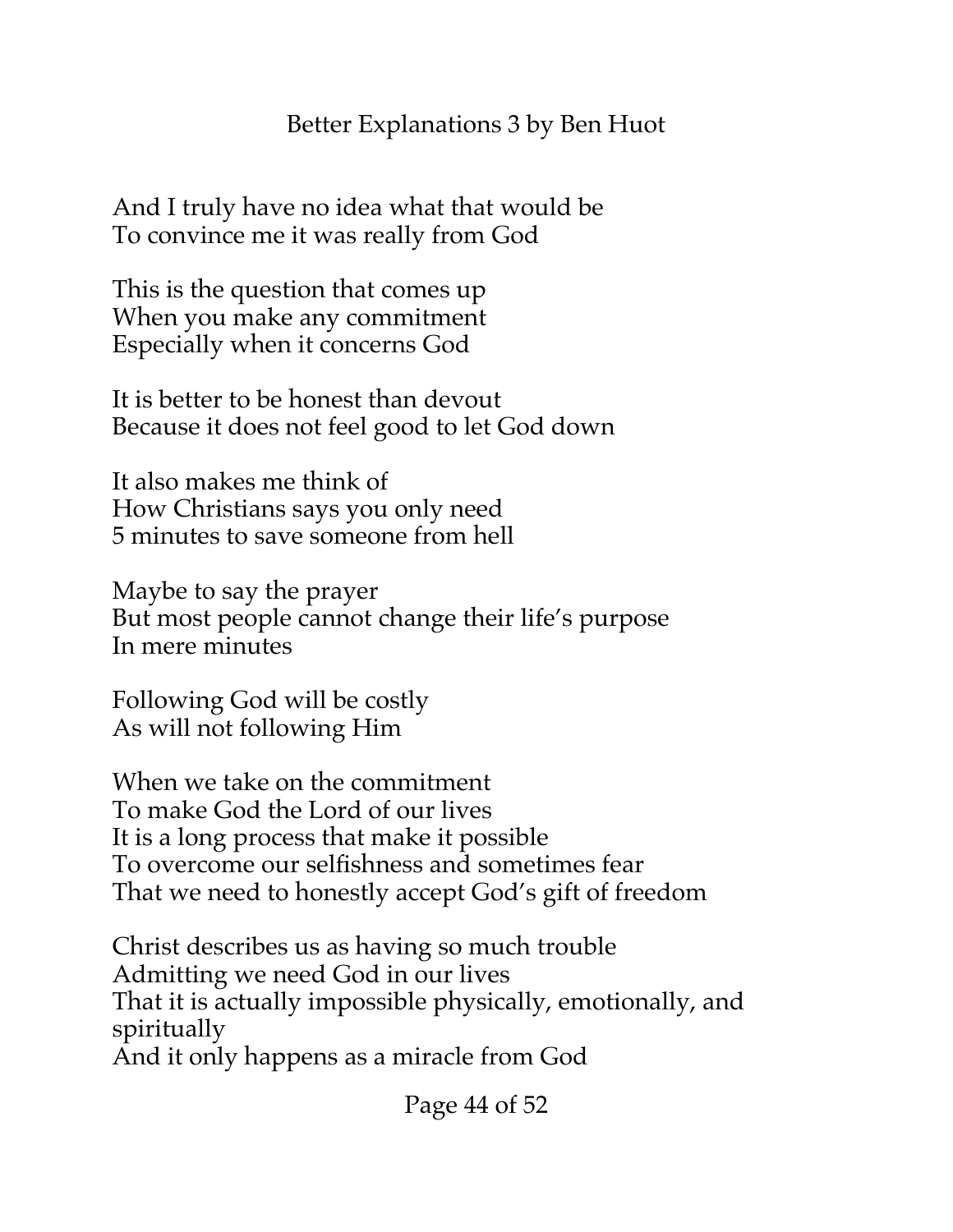And I truly have no idea what that would be To convince me it was really from God

This is the question that comes up When you make any commitment Especially when it concerns God

It is better to be honest than devout Because it does not feel good to let God down

It also makes me think of How Christians says you only need 5 minutes to save someone from hell

Maybe to say the prayer But most people cannot change their life's purpose In mere minutes

Following God will be costly As will not following Him

When we take on the commitment To make God the Lord of our lives It is a long process that make it possible To overcome our selfishness and sometimes fear That we need to honestly accept God's gift of freedom

Christ describes us as having so much trouble Admitting we need God in our lives That it is actually impossible physically, emotionally, and spiritually And it only happens as a miracle from God

Page 44 of 52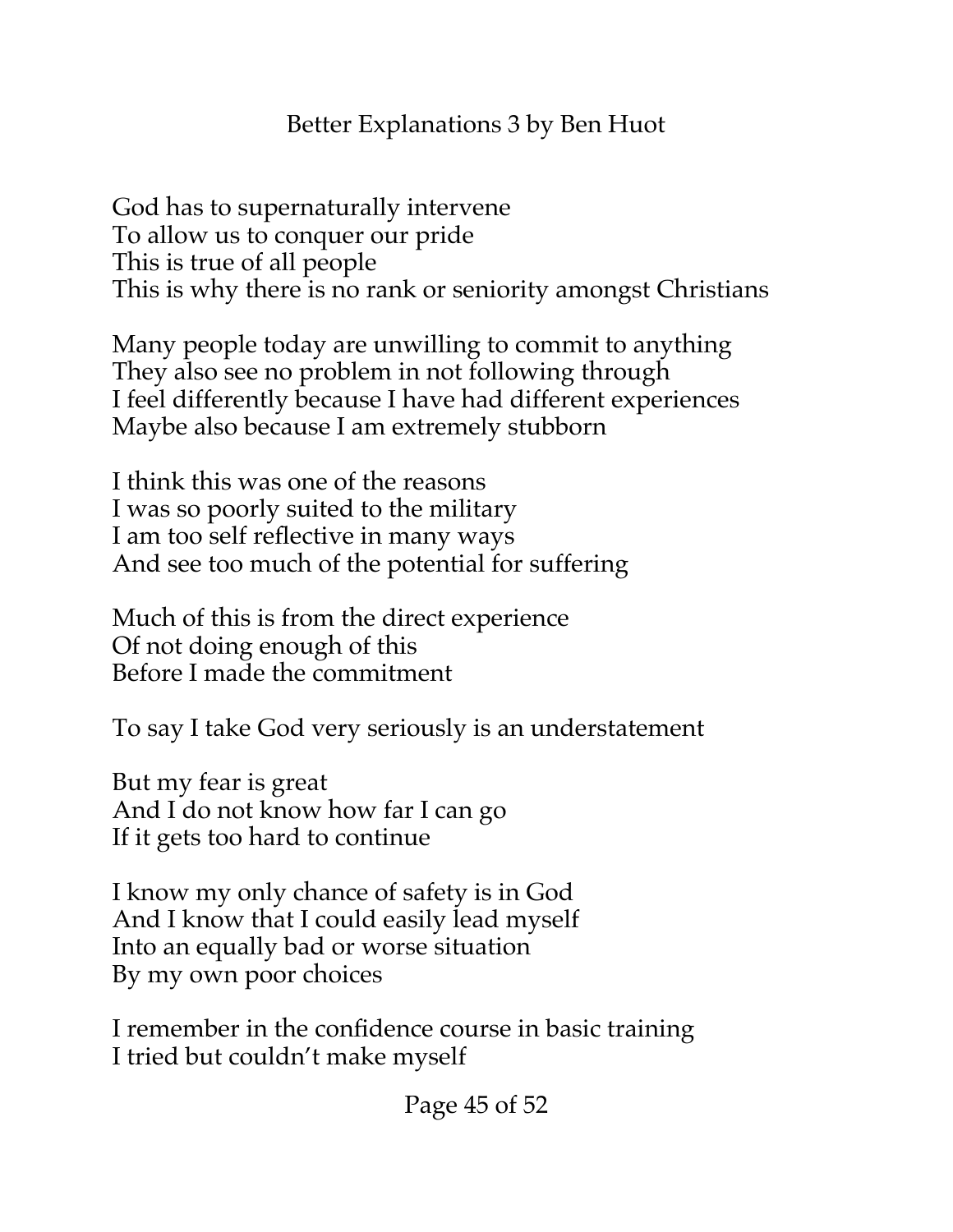God has to supernaturally intervene To allow us to conquer our pride This is true of all people This is why there is no rank or seniority amongst Christians

Many people today are unwilling to commit to anything They also see no problem in not following through I feel differently because I have had different experiences Maybe also because I am extremely stubborn

I think this was one of the reasons I was so poorly suited to the military I am too self reflective in many ways And see too much of the potential for suffering

Much of this is from the direct experience Of not doing enough of this Before I made the commitment

To say I take God very seriously is an understatement

But my fear is great And I do not know how far I can go If it gets too hard to continue

I know my only chance of safety is in God And I know that I could easily lead myself Into an equally bad or worse situation By my own poor choices

I remember in the confidence course in basic training I tried but couldn't make myself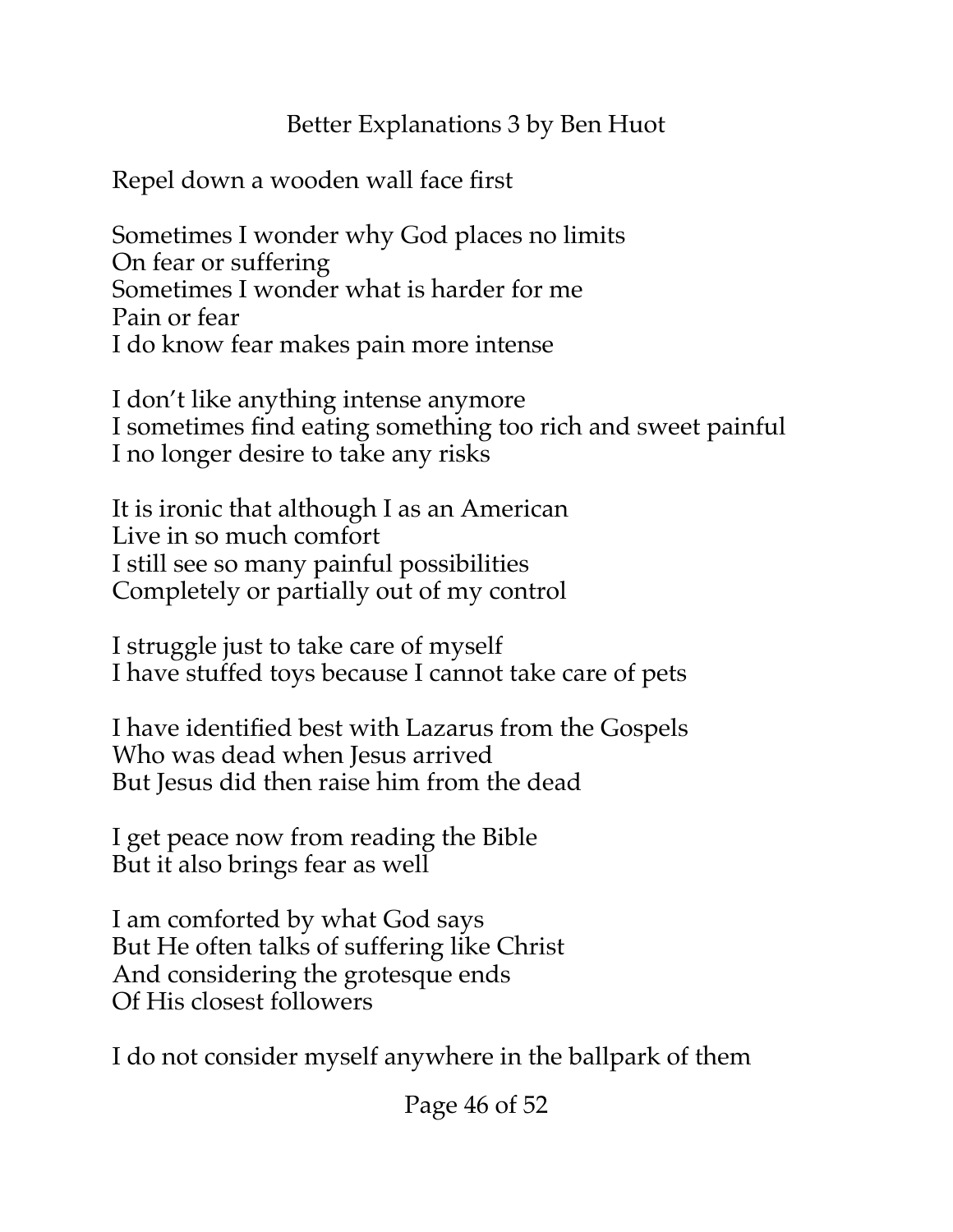Repel down a wooden wall face first

Sometimes I wonder why God places no limits On fear or suffering Sometimes I wonder what is harder for me Pain or fear I do know fear makes pain more intense

I don't like anything intense anymore I sometimes find eating something too rich and sweet painful I no longer desire to take any risks

It is ironic that although I as an American Live in so much comfort I still see so many painful possibilities Completely or partially out of my control

I struggle just to take care of myself I have stuffed toys because I cannot take care of pets

I have identified best with Lazarus from the Gospels Who was dead when Jesus arrived But Jesus did then raise him from the dead

I get peace now from reading the Bible But it also brings fear as well

I am comforted by what God says But He often talks of suffering like Christ And considering the grotesque ends Of His closest followers

I do not consider myself anywhere in the ballpark of them

Page 46 of 52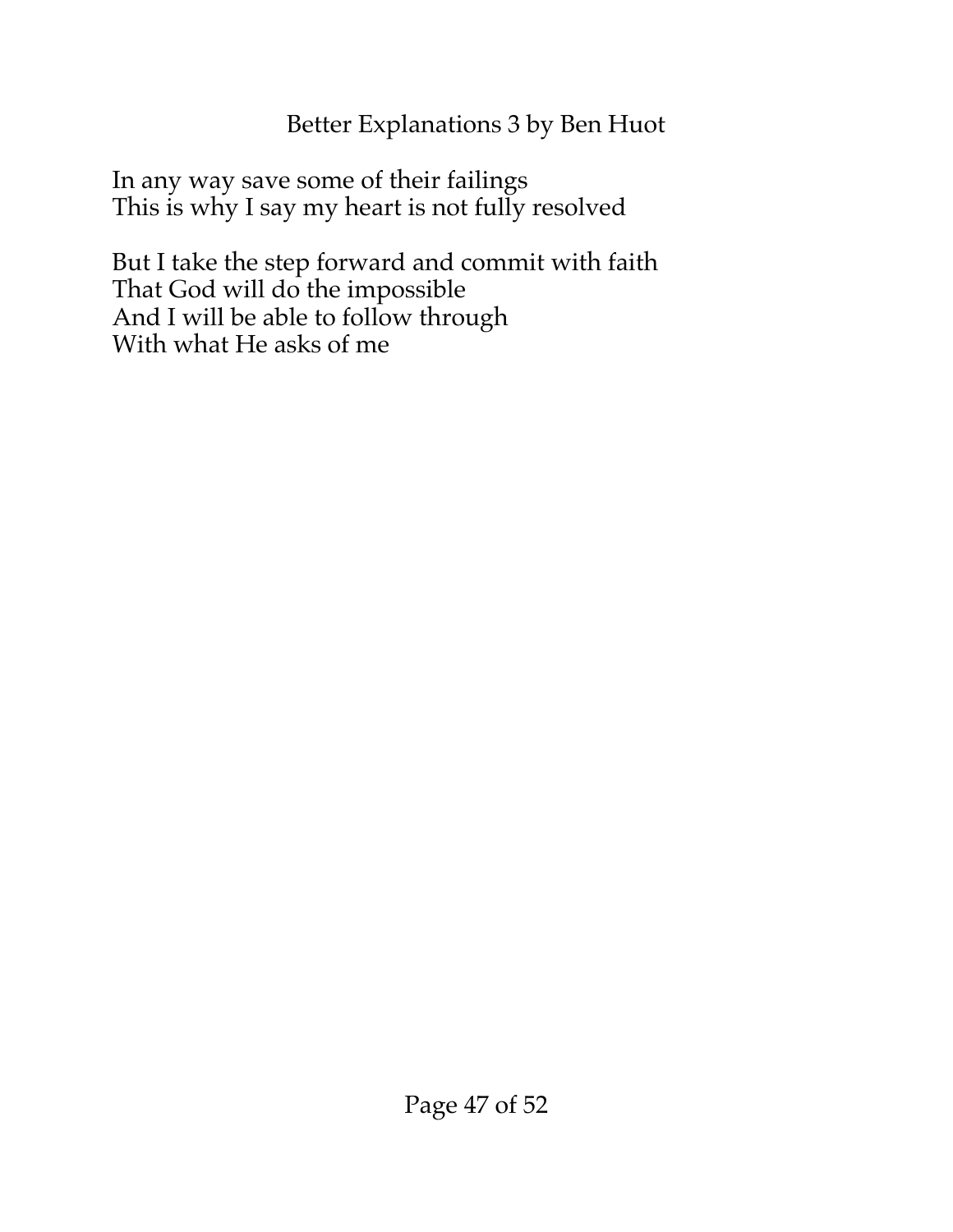In any way save some of their failings This is why I say my heart is not fully resolved

But I take the step forward and commit with faith That God will do the impossible And I will be able to follow through With what He asks of me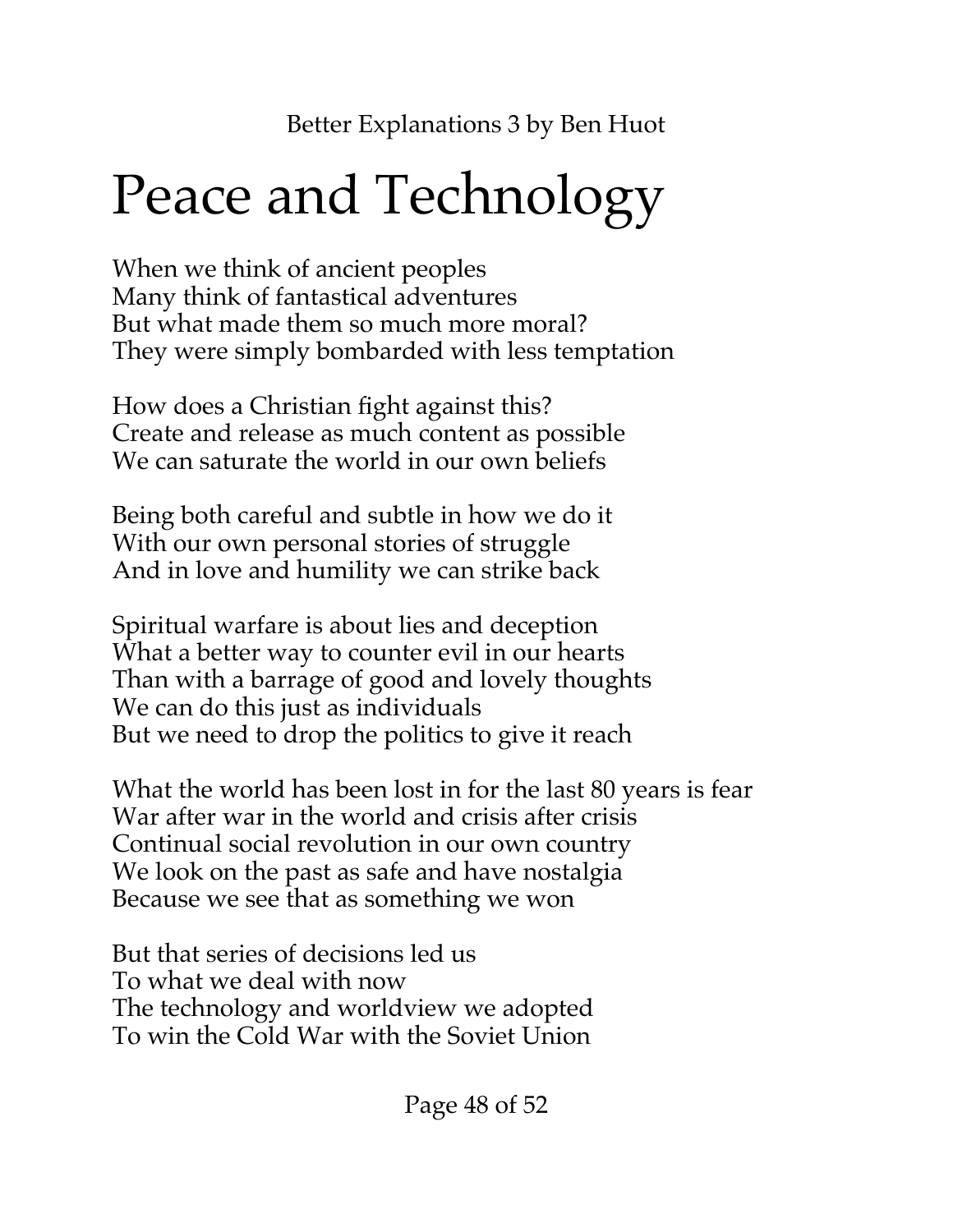## <span id="page-47-0"></span>Peace and Technology

When we think of ancient peoples Many think of fantastical adventures But what made them so much more moral? They were simply bombarded with less temptation

How does a Christian fight against this? Create and release as much content as possible We can saturate the world in our own beliefs

Being both careful and subtle in how we do it With our own personal stories of struggle And in love and humility we can strike back

Spiritual warfare is about lies and deception What a better way to counter evil in our hearts Than with a barrage of good and lovely thoughts We can do this just as individuals But we need to drop the politics to give it reach

What the world has been lost in for the last 80 years is fear War after war in the world and crisis after crisis Continual social revolution in our own country We look on the past as safe and have nostalgia Because we see that as something we won

But that series of decisions led us To what we deal with now The technology and worldview we adopted To win the Cold War with the Soviet Union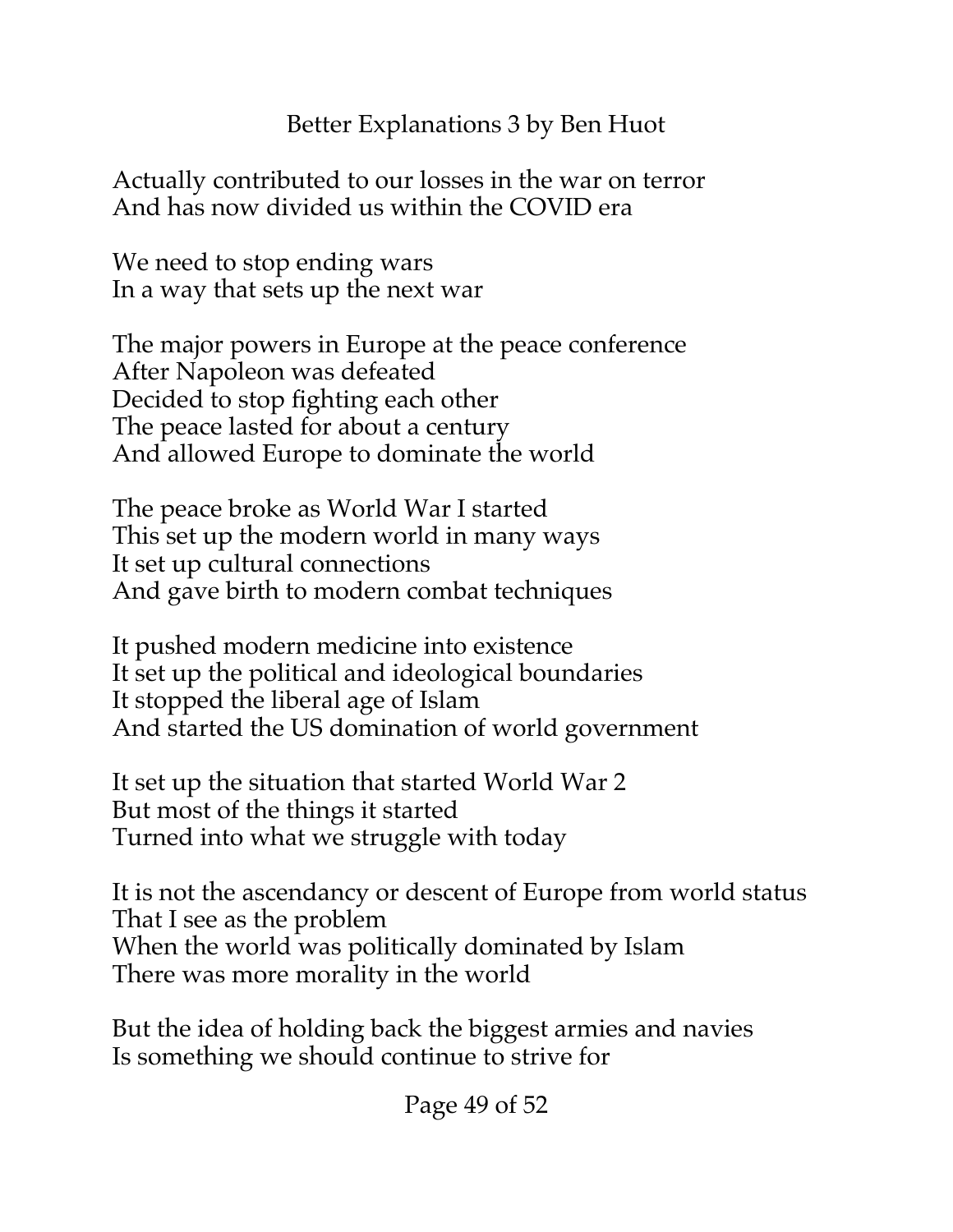Actually contributed to our losses in the war on terror And has now divided us within the COVID era

We need to stop ending wars In a way that sets up the next war

The major powers in Europe at the peace conference After Napoleon was defeated Decided to stop fighting each other The peace lasted for about a century And allowed Europe to dominate the world

The peace broke as World War I started This set up the modern world in many ways It set up cultural connections And gave birth to modern combat techniques

It pushed modern medicine into existence It set up the political and ideological boundaries It stopped the liberal age of Islam And started the US domination of world government

It set up the situation that started World War 2 But most of the things it started Turned into what we struggle with today

It is not the ascendancy or descent of Europe from world status That I see as the problem When the world was politically dominated by Islam There was more morality in the world

But the idea of holding back the biggest armies and navies Is something we should continue to strive for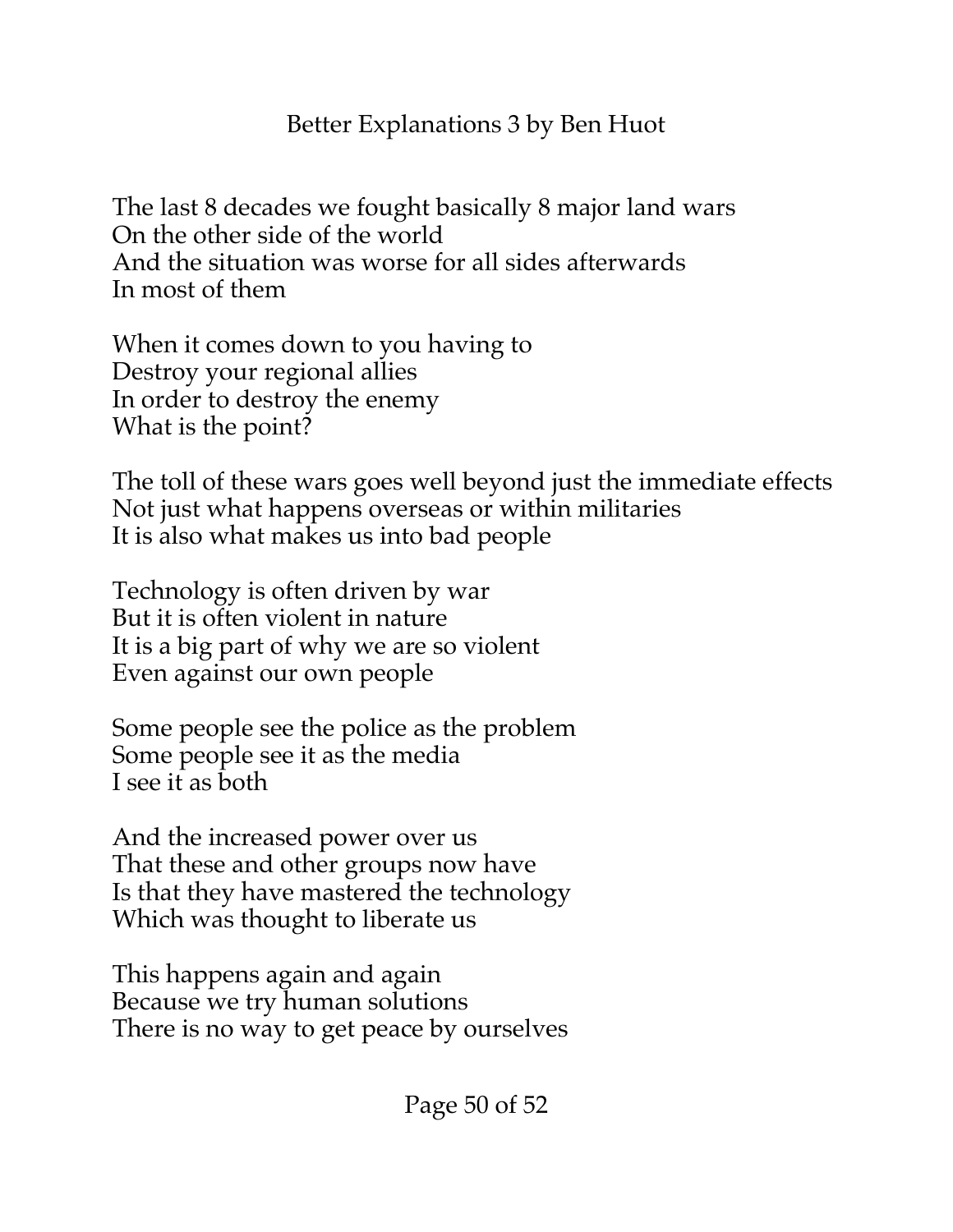The last 8 decades we fought basically 8 major land wars On the other side of the world And the situation was worse for all sides afterwards In most of them

When it comes down to you having to Destroy your regional allies In order to destroy the enemy What is the point?

The toll of these wars goes well beyond just the immediate effects Not just what happens overseas or within militaries It is also what makes us into bad people

Technology is often driven by war But it is often violent in nature It is a big part of why we are so violent Even against our own people

Some people see the police as the problem Some people see it as the media I see it as both

And the increased power over us That these and other groups now have Is that they have mastered the technology Which was thought to liberate us

This happens again and again Because we try human solutions There is no way to get peace by ourselves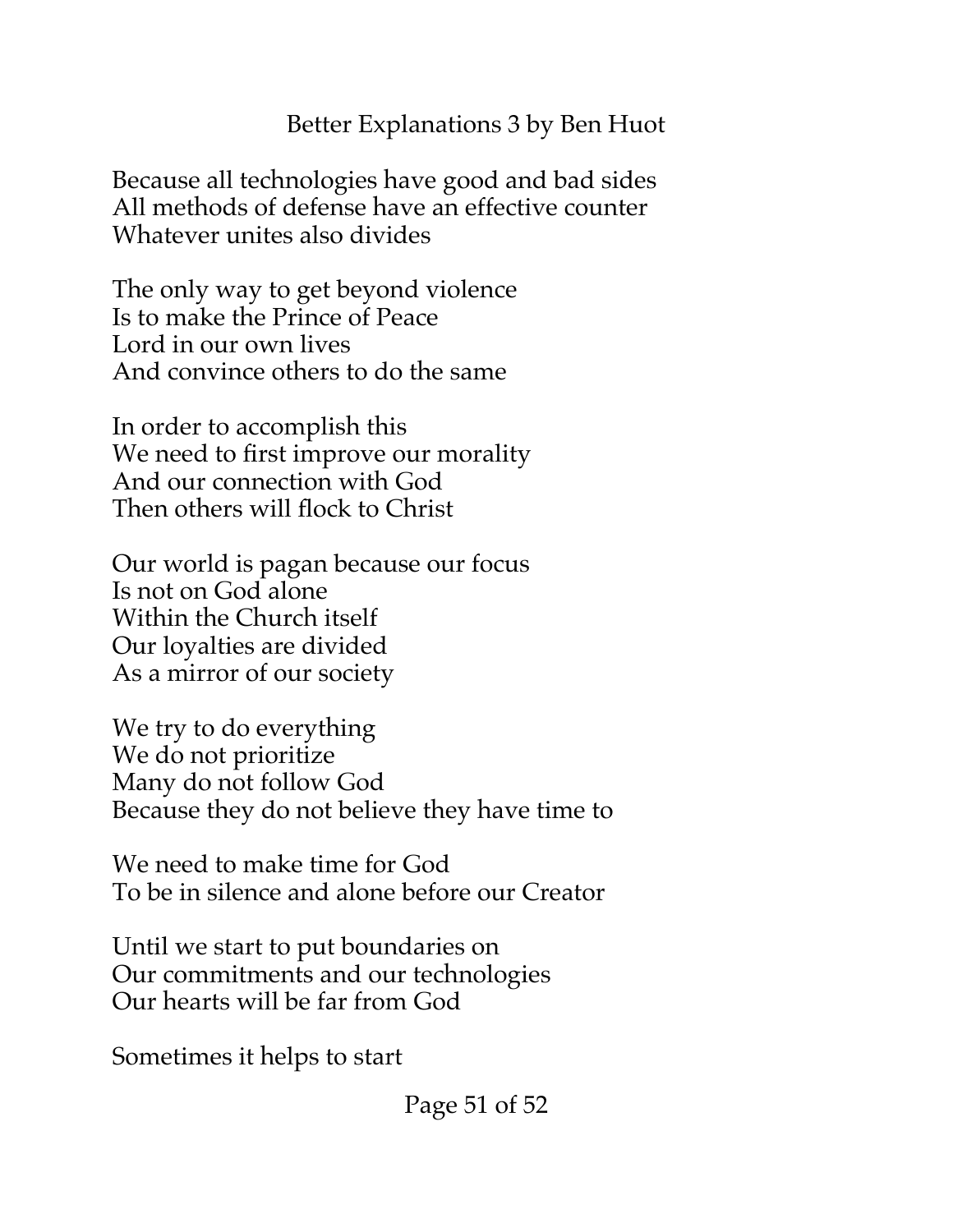Because all technologies have good and bad sides All methods of defense have an effective counter Whatever unites also divides

The only way to get beyond violence Is to make the Prince of Peace Lord in our own lives And convince others to do the same

In order to accomplish this We need to first improve our morality And our connection with God Then others will flock to Christ

Our world is pagan because our focus Is not on God alone Within the Church itself Our loyalties are divided As a mirror of our society

We try to do everything We do not prioritize Many do not follow God Because they do not believe they have time to

We need to make time for God To be in silence and alone before our Creator

Until we start to put boundaries on Our commitments and our technologies Our hearts will be far from God

Sometimes it helps to start